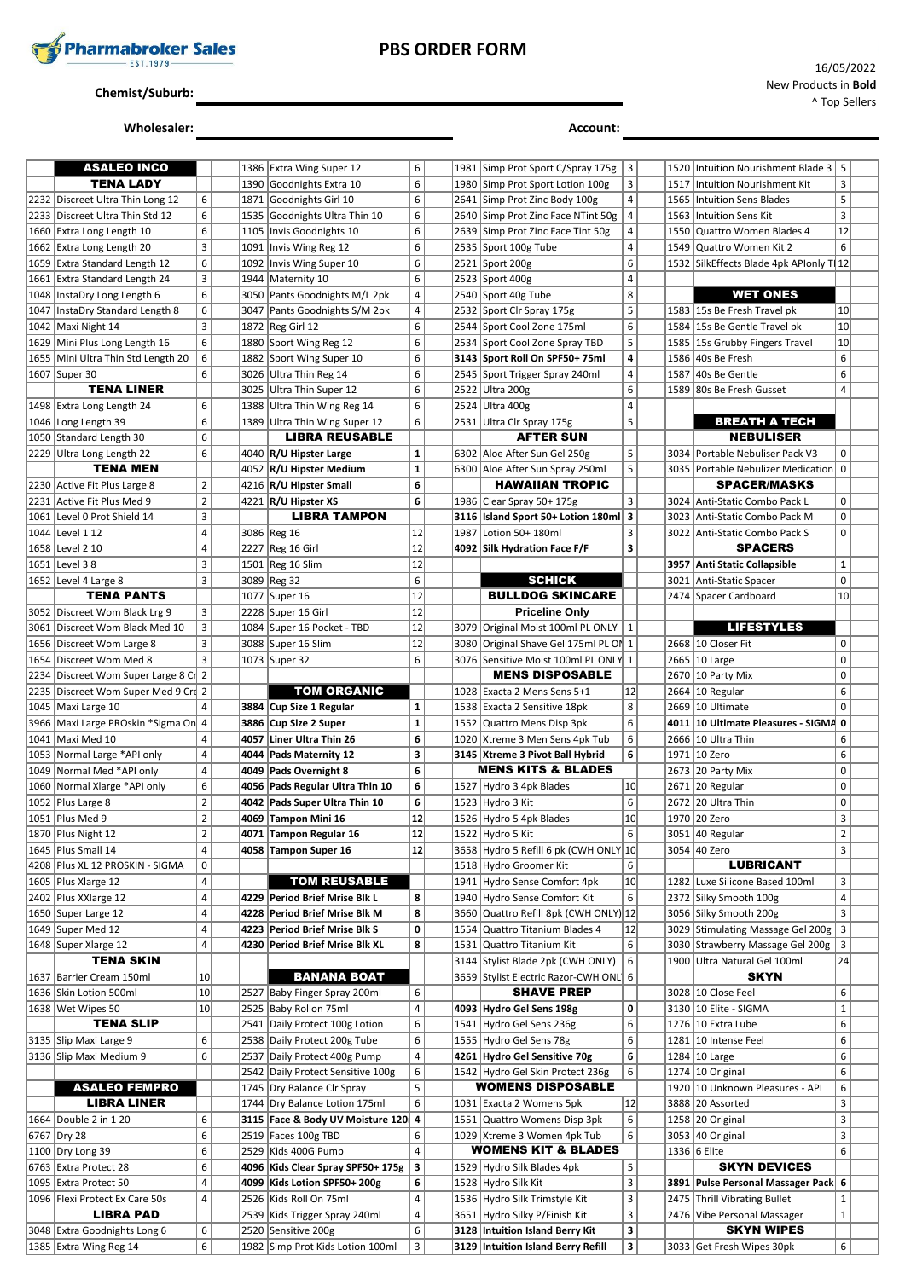

# **PBS ORDER FORM**

#### **Chemist/Suburb:**

### **Wholesaler: Account:**

| ASALEO INCO                            |                 |      | 1386 Extra Wing Super 12          | 6              |      | 1981 Simp Prot Sport C/Spray 175g     | 3              |      | 1520 Intuition Nourishment Blade 3 5    |                 |  |
|----------------------------------------|-----------------|------|-----------------------------------|----------------|------|---------------------------------------|----------------|------|-----------------------------------------|-----------------|--|
| <b>TENA LADY</b>                       |                 |      |                                   | 6              |      | 1980 Simp Prot Sport Lotion 100g      |                |      |                                         | 3               |  |
|                                        |                 |      | 1390 Goodnights Extra 10          |                |      |                                       | 3              |      | 1517 Intuition Nourishment Kit          |                 |  |
| 2232 Discreet Ultra Thin Long 12       | 6               | 1871 | Goodnights Girl 10                | 6              |      | 2641 Simp Prot Zinc Body 100g         | 4              | 1565 | <b>Intuition Sens Blades</b>            | 5               |  |
| 2233 Discreet Ultra Thin Std 12        | 6               | 1535 | Goodnights Ultra Thin 10          | 6              |      | 2640 Simp Prot Zinc Face NTint 50g    | 4              | 1563 | Intuition Sens Kit                      | 3               |  |
| 1660 Extra Long Length 10              | 6               | 1105 | Invis Goodnights 10               | 6              |      | 2639 Simp Prot Zinc Face Tint 50g     | 4              |      | 1550 Quattro Women Blades 4             | 12              |  |
| 1662 Extra Long Length 20              | 3               |      | 1091   Invis Wing Reg 12          | 6              |      | 2535 Sport 100g Tube                  | 4              |      | 1549 Quattro Women Kit 2                | 6               |  |
|                                        |                 |      |                                   |                |      |                                       |                |      |                                         |                 |  |
| 1659 Extra Standard Length 12          | 6               |      | 1092   Invis Wing Super 10        | 6              |      | 2521 Sport 200g                       | 6              |      | 1532 SilkEffects Blade 4pk APIonly T 12 |                 |  |
| 1661 Extra Standard Length 24          | 3               |      | 1944 Maternity 10                 | 6              |      | 2523 Sport 400g                       | $\overline{a}$ |      |                                         |                 |  |
| 1048   InstaDry Long Length 6          | 6               |      | 3050 Pants Goodnights M/L 2pk     | 4              |      | 2540 Sport 40g Tube                   | 8              |      | <b>WET ONES</b>                         |                 |  |
| 1047   InstaDry Standard Length 8      | 6               |      | 3047 Pants Goodnights S/M 2pk     | 4              |      | 2532 Sport Clr Spray 175g             | 5              |      | 1583 15s Be Fresh Travel pk             | 10              |  |
| 1042 Maxi Night 14                     | 3               |      | 1872 Reg Girl 12                  | 6              |      | 2544 Sport Cool Zone 175ml            | 6              |      | 1584 15s Be Gentle Travel pk            | 10 <sup>1</sup> |  |
|                                        |                 |      |                                   |                |      |                                       |                |      |                                         |                 |  |
| 1629 Mini Plus Long Length 16          | 6               |      | 1880 Sport Wing Reg 12            | 6              | 2534 | Sport Cool Zone Spray TBD             | 5              |      | 1585 15s Grubby Fingers Travel          | 10              |  |
| 1655   Mini Ultra Thin Std Length 20   | 6               |      | 1882 Sport Wing Super 10          | 6              |      | 3143 Sport Roll On SPF50+ 75ml        | 4              |      | 1586 40s Be Fresh                       | 6               |  |
| 1607 Super 30                          | 6               |      | 3026 Ultra Thin Reg 14            | 6              | 2545 | Sport Trigger Spray 240ml             | 4              |      | 1587 40s Be Gentle                      | 6               |  |
| <b>TENA LINER</b>                      |                 | 3025 | Ultra Thin Super 12               | 6              | 2522 | Ultra 200g                            | 6              |      | 1589 80s Be Fresh Gusset                | 4               |  |
| 1498 Extra Long Length 24              | 6               |      | 1388 Ultra Thin Wing Reg 14       | 6              |      | 2524 Ultra 400g                       | $\overline{4}$ |      |                                         |                 |  |
|                                        |                 |      |                                   |                |      |                                       | 5              |      |                                         |                 |  |
| 1046 Long Length 39                    | 6               |      | 1389 Ultra Thin Wing Super 12     | 6              |      | 2531 Ultra Clr Spray 175g             |                |      | <b>BREATH A TECH</b>                    |                 |  |
| 1050 Standard Length 30                | 6               |      | <b>LIBRA REUSABLE</b>             |                |      | <b>AFTER SUN</b>                      |                |      | <b>NEBULISER</b>                        |                 |  |
| 2229 Ultra Long Length 22              | 6               |      | 4040   R/U Hipster Large          | $\mathbf 1$    |      | 6302 Aloe After Sun Gel 250g          | 5              |      | 3034 Portable Nebuliser Pack V3         | 0               |  |
| TENA MEN                               |                 |      | 4052 R/U Hipster Medium           | $\mathbf 1$    |      | 6300 Aloe After Sun Spray 250ml       | 5              |      | 3035 Portable Nebulizer Medication      | $\mathbf 0$     |  |
| 2230 Active Fit Plus Large 8           | $\overline{2}$  |      | 4216 R/U Hipster Small            | 6              |      | <b>HAWAIIAN TROPIC</b>                |                |      | <b>SPACER/MASKS</b>                     |                 |  |
| 2231 Active Fit Plus Med 9             | $\overline{2}$  |      |                                   | 6              |      | 1986 Clear Spray 50+ 175g             | 3              |      |                                         | 0               |  |
|                                        |                 |      | 4221   R/U Hipster XS             |                |      |                                       |                |      | 3024 Anti-Static Combo Pack L           |                 |  |
| 1061   Level 0 Prot Shield 14          | 3               |      | <b>LIBRA TAMPON</b>               |                | 3116 | Island Sport 50+ Lotion 180ml 3       |                |      | 3023   Anti-Static Combo Pack M         | 0               |  |
| 1044 Level 1 12                        | 4               |      | 3086 Reg 16                       | 12             | 1987 | Lotion 50+ 180ml                      | 3              |      | 3022 Anti-Static Combo Pack S           | 0               |  |
| 1658 Level 2 10                        | 4               |      | 2227 Reg 16 Girl                  | 12             |      | 4092 Silk Hydration Face F/F          | 3              |      | <b>SPACERS</b>                          |                 |  |
| 1651 Level 38                          | 3               |      | 1501 Reg 16 Slim                  | 12             |      |                                       |                |      | 3957 Anti Static Collapsible            | $\mathbf{1}$    |  |
|                                        | 3               |      |                                   | 6              |      |                                       |                |      |                                         | 0               |  |
| 1652 Level 4 Large 8                   |                 |      | 3089 Reg 32                       |                |      | <b>SCHICK</b>                         |                |      | 3021 Anti-Static Spacer                 |                 |  |
| <b>TENA PANTS</b>                      |                 |      | 1077 Super 16                     | 12             |      | <b>BULLDOG SKINCARE</b>               |                |      | 2474 Spacer Cardboard                   | 10              |  |
| 3052 Discreet Wom Black Lrg 9          | 3               |      | 2228 Super 16 Girl                | 12             |      | <b>Priceline Only</b>                 |                |      |                                         |                 |  |
| 3061   Discreet Wom Black Med 10       | 3               |      | 1084 Super 16 Pocket - TBD        | 12             | 3079 | Original Moist 100ml PL ONLY          | 1              |      | <b>LIFESTYLES</b>                       |                 |  |
| 1656 Discreet Wom Large 8              | 3               |      | 3088 Super 16 Slim                | 12             | 3080 | Original Shave Gel 175ml PL OI 1      |                |      | 2668 10 Closer Fit                      | 0               |  |
|                                        | 3               |      |                                   | 6              |      |                                       |                |      |                                         | 0               |  |
| 1654   Discreet Wom Med 8              |                 |      | 1073 Super 32                     |                |      | 3076 Sensitive Moist 100ml PL ONLY 1  |                |      | 2665 10 Large                           |                 |  |
| 2234   Discreet Wom Super Large 8 Cr 2 |                 |      |                                   |                |      | <b>MENS DISPOSABLE</b>                |                |      | 2670 10 Party Mix                       | 0               |  |
| 2235   Discreet Wom Super Med 9 Crd 2  |                 |      | <b>TOM ORGANIC</b>                |                |      | 1028 Exacta 2 Mens Sens 5+1           | 12             |      | 2664 10 Regular                         | 6               |  |
| 1045 Maxi Large 10                     | 4               |      | 3884 Cup Size 1 Regular           | $\mathbf 1$    |      | 1538 Exacta 2 Sensitive 18pk          | 8              |      | 2669 10 Ultimate                        | $\mathbf 0$     |  |
| 3966   Maxi Large PROskin * Sigma On 4 |                 |      | 3886 Cup Size 2 Super             | $\mathbf 1$    |      | 1552 Quattro Mens Disp 3pk            | 6              |      | 4011   10 Ultimate Pleasures - SIGMA    | $\mathbf 0$     |  |
| 1041   Maxi Med 10                     | 4               | 4057 | Liner Ultra Thin 26               | 6              |      | 1020 Xtreme 3 Men Sens 4pk Tub        | 6              |      | 2666 10 Ultra Thin                      | 6               |  |
|                                        |                 |      |                                   |                |      |                                       |                |      |                                         |                 |  |
| 1053 Normal Large *API only            | 4               |      | 4044 Pads Maternity 12            | 3              |      | 3145 Xtreme 3 Pivot Ball Hybrid       | 6              |      | 1971 10 Zero                            | 6               |  |
| 1049 Normal Med *API only              | 4               |      | 4049 Pads Overnight 8             | 6              |      | <b>MENS KITS &amp; BLADES</b>         |                |      | 2673 20 Party Mix                       | 0               |  |
| 1060 Normal Xlarge *API only           | 6               |      | 4056   Pads Regular Ultra Thin 10 | 6              |      | 1527 Hydro 3 4pk Blades               | 10             |      | 2671 20 Regular                         | 0               |  |
| 1052 Plus Large 8                      | $\overline{2}$  |      | 4042 Pads Super Ultra Thin 10     | 6              |      | 1523 Hydro 3 Kit                      | 6              |      | 2672 20 Ultra Thin                      | 0               |  |
| 1051   Plus Med 9                      | $\overline{2}$  |      | 4069 Tampon Mini 16               | 12             |      | 1526 Hydro 5 4pk Blades               | 10             |      | 1970 20 Zero                            | 3               |  |
|                                        | $\overline{2}$  |      |                                   | 12             |      |                                       | 6              |      |                                         | $\overline{2}$  |  |
| 1870   Plus Night 12                   |                 |      | 4071 Tampon Regular 16            |                |      | 1522 Hydro 5 Kit                      |                |      | 3051 40 Regular                         |                 |  |
| 1645 Plus Small 14                     | 4               |      | 4058 Tampon Super 16              | 12             |      | 3658 Hydro 5 Refill 6 pk (CWH ONLY 10 |                |      | 3054 40 Zero                            | 3               |  |
| 4208 Plus XL 12 PROSKIN - SIGMA        | $\mathsf 0$     |      |                                   |                |      | 1518 Hydro Groomer Kit                | 6              |      | <b>LUBRICANT</b>                        |                 |  |
| 1605 Plus Xlarge 12                    | 4               |      | <b>TOM REUSABLE</b>               |                |      | 1941 Hydro Sense Comfort 4pk          | 10             |      | 1282 Luxe Silicone Based 100ml          | 3               |  |
| 2402 Plus XXlarge 12                   | 4               |      | 4229 Period Brief Mrise Blk L     | 8              |      | 1940 Hydro Sense Comfort Kit          | 6              |      | 2372 Silky Smooth 100g                  | 4               |  |
|                                        | 4               |      |                                   | 8              |      | Quattro Refill 8pk (CWH ONLY) 12      |                |      |                                         | 3               |  |
| 1650 Super Large 12                    |                 |      | 4228 Period Brief Mrise Blk M     |                | 3660 |                                       |                |      | 3056 Silky Smooth 200g                  |                 |  |
| 1649 Super Med 12                      | 4               |      | 4223 Period Brief Mrise Blk S     | 0              | 1554 | Quattro Titanium Blades 4             | 12             |      | 3029 Stimulating Massage Gel 200g       | 3               |  |
| 1648 Super Xlarge 12                   | 4               |      | 4230 Period Brief Mrise Blk XL    | 8              | 1531 | Quattro Titanium Kit                  | 6              |      | 3030 Strawberry Massage Gel 200g        | 3               |  |
| <b>TENA SKIN</b>                       |                 |      |                                   |                |      | 3144   Stylist Blade 2pk (CWH ONLY)   | 6              |      | 1900 Ultra Natural Gel 100ml            | 24              |  |
| 1637 Barrier Cream 150ml               | 10              |      | <b>BANANA BOAT</b>                |                |      | 3659 Stylist Electric Razor-CWH ONL 6 |                |      | <b>SKYN</b>                             |                 |  |
| 1636 Skin Lotion 500ml                 | 10              | 2527 | Baby Finger Spray 200ml           | 6              |      | <b>SHAVE PREP</b>                     |                |      | 3028 10 Close Feel                      | 6               |  |
|                                        |                 |      |                                   |                |      |                                       |                |      |                                         |                 |  |
| 1638 Wet Wipes 50                      | 10 <sup>1</sup> |      | 2525 Baby Rollon 75ml             | 4              |      | 4093 Hydro Gel Sens 198g              | 0              |      | 3130 10 Elite - SIGMA                   | $\mathbf 1$     |  |
| <b>TENA SLIP</b>                       |                 |      | 2541 Daily Protect 100g Lotion    | 6              |      | 1541 Hydro Gel Sens 236g              | 6              |      | 1276 10 Extra Lube                      | 6               |  |
| 3135 Slip Maxi Large 9                 | 6               |      | 2538 Daily Protect 200g Tube      | 6              |      | 1555 Hydro Gel Sens 78g               | 6              |      | 1281 10 Intense Feel                    | 6               |  |
| 3136 Slip Maxi Medium 9                | 6               |      | 2537 Daily Protect 400g Pump      | 4              |      | 4261 Hydro Gel Sensitive 70g          | 6              |      | 1284 10 Large                           | 6               |  |
|                                        |                 |      | 2542 Daily Protect Sensitive 100g | 6              |      | 1542 Hydro Gel Skin Protect 236g      | 6              |      | 1274 10 Original                        | 6               |  |
| <b>ASALEO FEMPRO</b>                   |                 |      |                                   | 5              |      | <b>WOMENS DISPOSABLE</b>              |                |      | 1920 10 Unknown Pleasures - API         | 6               |  |
|                                        |                 |      | 1745 Dry Balance Clr Spray        |                |      |                                       |                |      |                                         |                 |  |
| <b>LIBRA LINER</b>                     |                 |      | 1744 Dry Balance Lotion 175ml     | 6              |      | 1031 Exacta 2 Womens 5pk              | 12             |      | 3888 20 Assorted                        | 3               |  |
| 1664 Double 2 in 1 20                  | 6               | 3115 | Face & Body UV Moisture 120 4     |                |      | 1551 Quattro Womens Disp 3pk          | 6              |      | 1258 20 Original                        | 3               |  |
| 6767 Dry 28                            | 6               |      | 2519 Faces 100g TBD               | 6              |      | 1029 Xtreme 3 Women 4pk Tub           | 6              |      | 3053 40 Original                        | 3               |  |
| 1100 Dry Long 39                       | 6               |      | 2529 Kids 400G Pump               | $\overline{4}$ |      | <b>WOMENS KIT &amp; BLADES</b>        |                |      | 1336 6 Elite                            | 6               |  |
| 6763 Extra Protect 28                  | 6               |      | 4096 Kids Clear Spray SPF50+ 175g | 3              |      | 1529 Hydro Silk Blades 4pk            | 5              |      | <b>SKYN DEVICES</b>                     |                 |  |
|                                        |                 |      |                                   |                |      |                                       |                |      |                                         |                 |  |
| 1095 Extra Protect 50                  | 4               |      | 4099 Kids Lotion SPF50+ 200g      | 6              |      | 1528 Hydro Silk Kit                   | 3              |      | 3891 Pulse Personal Massager Pack 6     |                 |  |
| 1096 Flexi Protect Ex Care 50s         | 4               |      | 2526 Kids Roll On 75ml            | 4              |      | 1536 Hydro Silk Trimstyle Kit         | 3              |      | 2475 Thrill Vibrating Bullet            | $\mathbf 1$     |  |
| <b>LIBRA PAD</b>                       |                 |      | 2539 Kids Trigger Spray 240ml     | 4              |      | 3651 Hydro Silky P/Finish Kit         | 3              |      | 2476 Vibe Personal Massager             | $\mathbf 1$     |  |
| 3048 Extra Goodnights Long 6           | 6               |      | 2520 Sensitive 200g               | 6              |      | 3128 Intuition Island Berry Kit       | 3              |      | <b>SKYN WIPES</b>                       |                 |  |
| 1385 Extra Wing Reg 14                 | 6               |      | 1982 Simp Prot Kids Lotion 100ml  | 3              |      | 3129 Intuition Island Berry Refill    | 3              |      | 3033 Get Fresh Wipes 30pk               | 6               |  |
|                                        |                 |      |                                   |                |      |                                       |                |      |                                         |                 |  |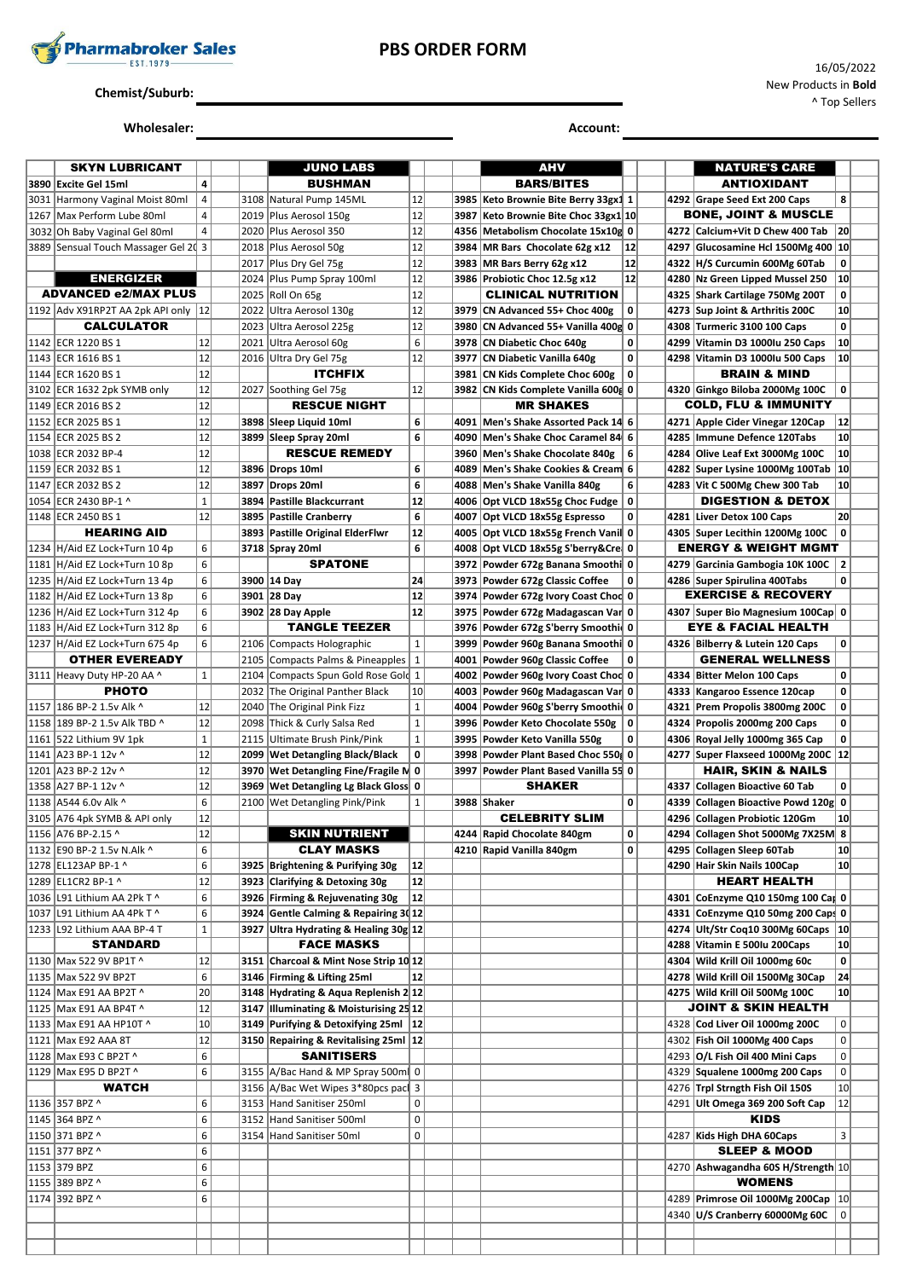

## **PBS ORDER FORM**

# **Chemist/Suburb:**

# **Wholesaler: Account: Account: Account: Account: Account: Account: Account: Account: Account: Account: Account: Account: Account: Account: Account: Account: Account: Account: Account:**

| <b>SKYN LUBRICANT</b>                |                |      | <b>JUNO LABS</b>                               |              |      | AHV                                    |             |      | <b>NATURE'S CARE</b>                                           |                 |  |
|--------------------------------------|----------------|------|------------------------------------------------|--------------|------|----------------------------------------|-------------|------|----------------------------------------------------------------|-----------------|--|
| 3890 Excite Gel 15ml                 | 4              |      | <b>BUSHMAN</b>                                 |              |      | <b>BARS/BITES</b>                      |             |      | <b>ANTIOXIDANT</b>                                             |                 |  |
| 3031 Harmony Vaginal Moist 80ml      | $\overline{4}$ |      | 3108 Natural Pump 145ML                        | 12           |      | 3985   Keto Brownie Bite Berry 33gx1 1 |             |      | 4292 Grape Seed Ext 200 Caps                                   | 8               |  |
| 1267   Max Perform Lube 80ml         | $\overline{4}$ |      | 2019 Plus Aerosol 150g                         | 12           | 3987 | Keto Brownie Bite Choc 33gx1 10        |             |      | BONE, JOINT & MUSCLE                                           |                 |  |
| 3032 Oh Baby Vaginal Gel 80ml        | 4              |      | 2020 Plus Aerosol 350                          | 12           |      | 4356 Metabolism Chocolate 15x10g 0     |             | 4272 | Calcium+Vit D Chew 400 Tab                                     | 20              |  |
| 3889 Sensual Touch Massager Gel 20 3 |                |      | 2018   Plus Aerosol 50g                        | 12           |      | 3984 MR Bars Chocolate 62g x12         | 12          | 4297 | Glucosamine Hcl 1500Mg 400 10                                  |                 |  |
|                                      |                |      | 2017 Plus Dry Gel 75g                          | 12           |      | 3983 MR Bars Berry 62g x12             | 12          |      | 4322 H/S Curcumin 600Mg 60Tab                                  | 0               |  |
| <b>ENERGIZER</b>                     |                |      | 2024 Plus Pump Spray 100ml                     | 12           |      | 3986 Probiotic Choc 12.5g x12          | 12          |      | 4280 Nz Green Lipped Mussel 250                                | 10              |  |
| <b>ADVANCED e2/MAX PLUS</b>          |                | 2025 | Roll On 65g                                    | 12           |      | <b>CLINICAL NUTRITION</b>              |             |      | 4325 Shark Cartilage 750Mg 200T                                | 0               |  |
| 1192 Adv X91RP2T AA 2pk API only 12  |                | 2022 |                                                | 12           | 3979 | CN Advanced 55+ Choc 400g              | 0           |      | 4273 Sup Joint & Arthritis 200C                                | 10              |  |
|                                      |                |      | Ultra Aerosol 130g                             |              |      |                                        |             |      |                                                                |                 |  |
| <b>CALCULATOR</b>                    |                | 2023 | Ultra Aerosol 225g                             | 12           | 3980 | CN Advanced 55+ Vanilla 400g 0         |             |      | 4308 Turmeric 3100 100 Caps                                    | $\mathbf 0$     |  |
| 1142   ECR 1220 BS 1                 | 12             |      | 2021 Ultra Aerosol 60g                         | 6            |      | 3978 CN Diabetic Choc 640g             | 0           |      | 4299 Vitamin D3 1000Iu 250 Caps                                | 10              |  |
| 1143   ECR 1616 BS 1                 | 12             |      | 2016 Ultra Dry Gel 75g                         | 12           |      | 3977 CN Diabetic Vanilla 640g          | $\mathbf 0$ |      | 4298 Vitamin D3 1000Iu 500 Caps                                | 10              |  |
| 1144 ECR 1620 BS 1                   | 12             |      | <b>ITCHFIX</b>                                 |              | 3981 | CN Kids Complete Choc 600g             | 0           |      | <b>BRAIN &amp; MIND</b>                                        |                 |  |
| 3102   ECR 1632 2pk SYMB only        | 12             |      | 2027 Soothing Gel 75g                          | 12           |      | 3982 CN Kids Complete Vanilla 600 0    |             |      | 4320 Ginkgo Biloba 2000Mg 100C                                 | $\mathbf 0$     |  |
| 1149 ECR 2016 BS 2                   | 12             |      | <b>RESCUE NIGHT</b>                            |              |      | <b>MR SHAKES</b>                       |             |      | COLD, FLU & IMMUNITY                                           |                 |  |
| 1152   ECR 2025 BS 1                 | 12             |      | 3898 Sleep Liquid 10ml                         | 6            | 4091 | Men's Shake Assorted Pack 14 6         |             |      | 4271 Apple Cider Vinegar 120Cap                                | 12              |  |
| 1154 ECR 2025 BS 2                   | 12             |      | 3899 Sleep Spray 20ml                          | 6            |      | 4090   Men's Shake Choc Caramel 84 6   |             | 4285 | Immune Defence 120Tabs                                         | 10              |  |
| 1038 ECR 2032 BP-4                   | 12             |      | <b>RESCUE REMEDY</b>                           |              |      | 3960 Men's Shake Chocolate 840g        | 6           |      | 4284 Olive Leaf Ext 3000Mg 100C                                | 10              |  |
| 1159 ECR 2032 BS 1                   | 12             |      | 3896 Drops 10ml                                | 6            | 4089 | Men's Shake Cookies & Cream 6          |             |      | 4282 Super Lysine 1000Mg 100Tab 10                             |                 |  |
| 1147 ECR 2032 BS 2                   | 12             |      | 3897 Drops 20ml                                | 6            |      | 4088 Men's Shake Vanilla 840g          | 6           |      | 4283 Vit C 500Mg Chew 300 Tab                                  | 10              |  |
| 1054 ECR 2430 BP-1 ^                 | $\mathbf{1}$   |      | 3894 Pastille Blackcurrant                     | 12           |      | 4006 Opt VLCD 18x55g Choc Fudge        | 0           |      | <b>DIGESTION &amp; DETOX</b>                                   |                 |  |
| 1148 ECR 2450 BS 1                   | 12             |      | 3895   Pastille Cranberry                      | 6            |      | 4007 Opt VLCD 18x55g Espresso          | 0           |      | 4281 Liver Detox 100 Caps                                      | 20              |  |
| <b>HEARING AID</b>                   |                |      | 3893   Pastille Original ElderFlwr             | $12$         |      | 4005 Opt VLCD 18x55g French Vanil 0    |             |      | 4305 Super Lecithin 1200Mg 100C                                | $\mathbf 0$     |  |
| 1234   H/Aid EZ Lock+Turn 10 4p      | 6              |      |                                                | 6            |      |                                        |             |      | <b>ENERGY &amp; WEIGHT MGMT</b>                                |                 |  |
|                                      | 6              |      | 3718 Spray 20ml<br><b>SPATONE</b>              |              |      | 4008 Opt VLCD 18x55g S'berry&Cre 0     |             |      |                                                                |                 |  |
| 1181 H/Aid EZ Lock+Turn 10 8p        |                |      |                                                |              |      | 3972 Powder 672g Banana Smoothi 0      |             |      | 4279 Garcinia Gambogia 10K 100C   2                            |                 |  |
| 1235  H/Aid EZ Lock+Turn 13 4p       | 6              |      | 3900 14 Day                                    | 24           |      | 3973 Powder 672g Classic Coffee        | 0           |      | 4286 Super Spirulina 400Tabs<br><b>EXERCISE &amp; RECOVERY</b> | $\mathbf 0$     |  |
| 1182 H/Aid EZ Lock+Turn 13 8p        | 6              |      | 3901 28 Day                                    | 12           |      | 3974 Powder 672g Ivory Coast Choc 0    |             |      |                                                                |                 |  |
| 1236   H/Aid EZ Lock+Turn 312 4p     | 6              |      | 3902 28 Day Apple                              | 12           |      | 3975 Powder 672g Madagascan Var 0      |             |      | 4307 Super Bio Magnesium 100Cap 0                              |                 |  |
| 1183   H/Aid EZ Lock+Turn 312 8p     | 6              |      | <b>TANGLE TEEZER</b>                           |              |      | 3976 Powder 672g S'berry Smoothi 0     |             |      | <b>EYE &amp; FACIAL HEALTH</b>                                 |                 |  |
| 1237   H/Aid EZ Lock+Turn 675 4p     | 6              |      | 2106 Compacts Holographic                      | $\mathbf{1}$ |      | 3999 Powder 960g Banana Smoothi 0      |             |      | 4326 Bilberry & Lutein 120 Caps                                | 0               |  |
| <b>OTHER EVEREADY</b>                |                |      | 2105 Compacts Palms & Pineapples               | $\mathbf{1}$ |      | 4001 Powder 960g Classic Coffee        | 0           |      | <b>GENERAL WELLNESS</b>                                        |                 |  |
| 3111 Heavy Duty HP-20 AA ^           | 1              | 2104 | Compacts Spun Gold Rose Gold 1                 |              |      | 4002 Powder 960g Ivory Coast Chod 0    |             |      | 4334 Bitter Melon 100 Caps                                     | 0               |  |
| <b>PHOTO</b>                         |                | 2032 | The Original Panther Black                     | 10           |      | 4003 Powder 960g Madagascan Var 0      |             | 4333 | Kangaroo Essence 120cap                                        | 0               |  |
| 1157   186 BP-2 1.5v Alk ^           | 12             |      | 2040 The Original Pink Fizz                    | $\mathbf{1}$ |      | 4004 Powder 960g S'berry Smoothi 0     |             |      | 4321 Prem Propolis 3800mg 200C                                 | 0               |  |
| 1158   189 BP-2 1.5v Alk TBD ^       | 12             |      | 2098 Thick & Curly Salsa Red                   | $\mathbf{1}$ |      | 3996 Powder Keto Chocolate 550g        | 0           |      | 4324 Propolis 2000mg 200 Caps                                  | 0               |  |
| 1161   522 Lithium 9V 1pk            | $\mathbf{1}$   | 2115 | Ultimate Brush Pink/Pink                       | $\mathbf 1$  |      | 3995 Powder Keto Vanilla 550g          | 0           |      | 4306 Royal Jelly 1000mg 365 Cap                                | 0               |  |
| 1141   A23 BP-1 12v ^                | 12             |      | 2099   Wet Detangling Black/Black              | 0            |      | 3998 Powder Plant Based Choc 550 0     |             |      | 4277 Super Flaxseed 1000Mg 200C 12                             |                 |  |
| 1201   A23 BP-2 12v ^                | 12             |      | 3970 Wet Detangling Fine/Fragile N 0           |              |      | 3997 Powder Plant Based Vanilla 55 0   |             |      | <b>HAIR, SKIN &amp; NAILS</b>                                  |                 |  |
| 1358 A27 BP-1 12v ^                  | 12             |      | 3969 Wet Detangling Lg Black Gloss 0           |              |      | <b>SHAKER</b>                          |             | 4337 | Collagen Bioactive 60 Tab                                      | $\mathbf 0$     |  |
| 1138 A544 6.0v Alk ^                 | 6              |      | 2100 Wet Detangling Pink/Pink                  | $\mathbf{1}$ |      | 3988 Shaker                            | 0           | 4339 | Collagen Bioactive Powd 120g 0                                 |                 |  |
|                                      | 12             |      |                                                |              |      | <b>CELEBRITY SLIM</b>                  |             |      |                                                                | 10              |  |
| 3105 A76 4pk SYMB & API only         |                |      |                                                |              |      |                                        |             |      | 4296 Collagen Probiotic 120Gm                                  |                 |  |
| 1156 A76 BP-2.15 ^                   | 12             |      | <b>SKIN NUTRIENT</b>                           |              |      | 4244 Rapid Chocolate 840gm             | 0           |      | 4294 Collagen Shot 5000Mg 7X25M 8                              |                 |  |
| 1132   E90 BP-2 1.5v N.Alk ^         | 6              |      | <b>CLAY MASKS</b>                              |              |      | 4210 Rapid Vanilla 840gm               | 0           |      | 4295 Collagen Sleep 60Tab                                      | 10              |  |
| 1278 EL123AP BP-1 ^                  | 6              |      | 3925 Brightening & Purifying 30g               | 12           |      |                                        |             |      | 4290 Hair Skin Nails 100Cap                                    | 10 <sup>1</sup> |  |
| 1289 EL1CR2 BP-1 ^                   | 12             |      | 3923 Clarifying & Detoxing 30g                 | 12           |      |                                        |             |      | <b>HEART HEALTH</b>                                            |                 |  |
| 1036   L91 Lithium AA 2Pk T ^        | 6              |      | 3926 Firming & Rejuvenating 30g                | 12           |      |                                        |             |      | 4301 CoEnzyme Q10 150mg 100 Caj 0                              |                 |  |
| 1037 L91 Lithium AA 4Pk T ^          | 6              |      | 3924 Gentle Calming & Repairing 3012           |              |      |                                        |             |      | 4331 CoEnzyme Q10 50mg 200 Caps 0                              |                 |  |
| 1233 L92 Lithium AAA BP-4 T          | $\mathbf 1$    |      | 3927 Ultra Hydrating & Healing 30g 12          |              |      |                                        |             |      | 4274 Ult/Str Coq10 300Mg 60Caps   10                           |                 |  |
| <b>STANDARD</b>                      |                |      | <b>FACE MASKS</b>                              |              |      |                                        |             |      | 4288 Vitamin E 500Iu 200Caps                                   | 10              |  |
| 1130   Max 522 9V BP1T ^             | 12             |      | 3151 Charcoal & Mint Nose Strip 10 12          |              |      |                                        |             |      | 4304 Wild Krill Oil 1000mg 60c                                 | $\mathbf 0$     |  |
| 1135   Max 522 9V BP2T               | 6              |      | 3146 Firming & Lifting 25ml                    | 12           |      |                                        |             |      | 4278 Wild Krill Oil 1500Mg 30Cap                               | 24              |  |
| 1124   Max E91 AA BP2T ^             | 20             |      | 3148 Hydrating & Aqua Replenish 2 12           |              |      |                                        |             |      | 4275 Wild Krill Oil 500Mg 100C                                 | 10              |  |
| 1125   Max E91 AA BP4T ^             | 12             |      | $ 3147 $ Illuminating & Moisturising 25 $ 12 $ |              |      |                                        |             |      | <b>JOINT &amp; SKIN HEALTH</b>                                 |                 |  |
| 1133   Max E91 AA HP10T ^            | 10             |      | 3149 Purifying & Detoxifying 25ml 12           |              |      |                                        |             |      | 4328 Cod Liver Oil 1000mg 200C                                 | $\mathbf 0$     |  |
| 1121   Max E92 AAA 8T                | 12             |      | 3150 Repairing & Revitalising 25ml 12          |              |      |                                        |             |      | 4302 Fish Oil 1000Mg 400 Caps                                  | $\pmb{0}$       |  |
| 1128   Max E93 C BP2T ^              | 6              |      | <b>SANITISERS</b>                              |              |      |                                        |             |      | 4293 O/L Fish Oil 400 Mini Caps                                | $\mathbf 0$     |  |
| 1129   Max E95 D BP2T ^              | 6              |      | 3155 A/Bac Hand & MP Spray 500ml 0             |              |      |                                        |             |      | 4329 Squalene 1000mg 200 Caps                                  | $\pmb{0}$       |  |
|                                      |                |      |                                                |              |      |                                        |             |      |                                                                |                 |  |
| <b>WATCH</b>                         |                |      | 3156 A/Bac Wet Wipes 3*80pcs pac 3             |              |      |                                        |             |      | 4276 Trpl Strngth Fish Oil 150S                                | 10              |  |
| 1136 357 BPZ ^                       | 6              |      | 3153 Hand Sanitiser 250ml                      | 0            |      |                                        |             |      | 4291 Ult Omega 369 200 Soft Cap                                | 12              |  |
| 1145 364 BPZ ^                       | 6              |      | 3152 Hand Sanitiser 500ml                      | 0            |      |                                        |             |      | <b>KIDS</b>                                                    |                 |  |
| 1150 371 BPZ ^                       | 6              |      | 3154 Hand Sanitiser 50ml                       | 0            |      |                                        |             |      | 4287 Kids High DHA 60Caps                                      | 3               |  |
| 1151 377 BPZ ^                       | 6              |      |                                                |              |      |                                        |             |      | <b>SLEEP &amp; MOOD</b>                                        |                 |  |
| 1153 379 BPZ                         | 6              |      |                                                |              |      |                                        |             |      | 4270 Ashwagandha 60S H/Strength 10                             |                 |  |
| 1155 389 BPZ ^                       | 6              |      |                                                |              |      |                                        |             |      | <b>WOMENS</b>                                                  |                 |  |
| 1174 392 BPZ ^                       | 6              |      |                                                |              |      |                                        |             |      | 4289 Primrose Oil 1000Mg 200Cap   10                           |                 |  |
|                                      |                |      |                                                |              |      |                                        |             |      | 4340 U/S Cranberry 60000Mg 60C                                 | 0               |  |
|                                      |                |      |                                                |              |      |                                        |             |      |                                                                |                 |  |
|                                      |                |      |                                                |              |      |                                        |             |      |                                                                |                 |  |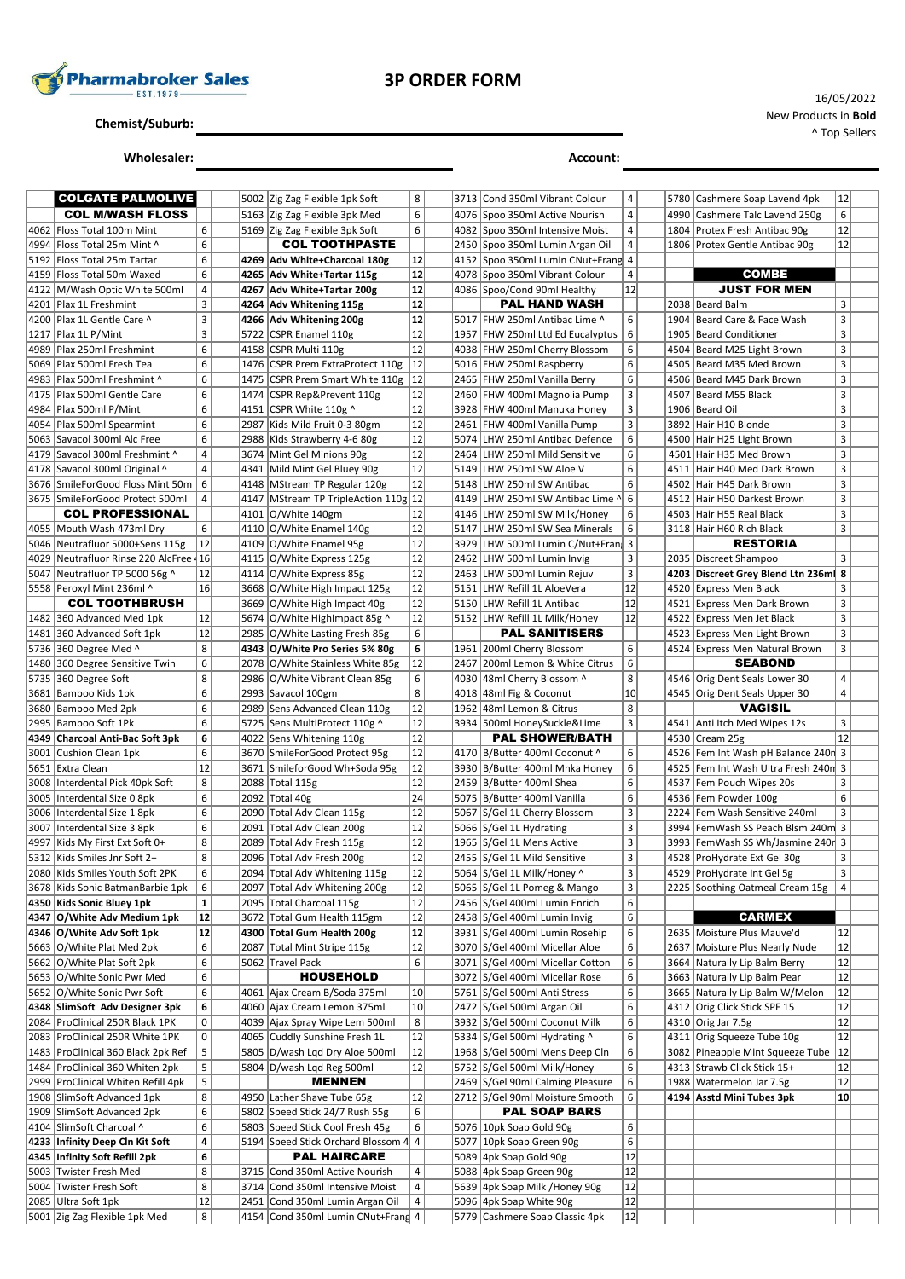

# **3P ORDER FORM**

**Chemist/Suburb:**

**Wholesaler: Account:**

| <b>COLGATE PALMOLIVE</b>                           |                |  | 5002 Zig Zag Flexible 1pk Soft                                  | 8                       |      | 3713 Cond 350ml Vibrant Colour                              | 4        |      | 5780 Cashmere Soap Lavend 4pk                              | 12             |  |
|----------------------------------------------------|----------------|--|-----------------------------------------------------------------|-------------------------|------|-------------------------------------------------------------|----------|------|------------------------------------------------------------|----------------|--|
| <b>COL M/WASH FLOSS</b>                            |                |  | 5163 Zig Zag Flexible 3pk Med                                   | 6                       |      | 4076 Spoo 350ml Active Nourish                              | 4        |      | 4990 Cashmere Talc Lavend 250g                             | 6              |  |
| 4062   Floss Total 100m Mint                       | 6              |  | 5169 Zig Zag Flexible 3pk Soft                                  | 6                       |      | 4082 Spoo 350ml Intensive Moist                             | 4        |      | 1804 Protex Fresh Antibac 90g                              | 12             |  |
| 4994 Floss Total 25m Mint ^                        | 6              |  | <b>COL TOOTHPASTE</b>                                           |                         |      | 2450 Spoo 350ml Lumin Argan Oil                             | 4        |      | 1806 Protex Gentle Antibac 90g                             | 12             |  |
| 5192 Floss Total 25m Tartar                        | 6              |  | 4269 Adv White+Charcoal 180g                                    | 12                      |      | 4152 Spoo 350ml Lumin CNut+Frang 4                          |          |      |                                                            |                |  |
| 4159 Floss Total 50m Waxed                         | 6              |  | 4265 Adv White+Tartar 115g                                      | 12                      |      | 4078 Spoo 350ml Vibrant Colour                              | 4        |      | <b>COMBE</b>                                               |                |  |
| 4122 M/Wash Optic White 500ml                      | $\overline{4}$ |  | 4267 Adv White+Tartar 200g                                      | 12                      |      | 4086 Spoo/Cond 90ml Healthy                                 | 12       |      | <b>JUST FOR MEN</b>                                        |                |  |
| 4201 Plax 1L Freshmint                             | 3              |  | 4264 Adv Whitening 115g                                         | 12                      |      | <b>PAL HAND WASH</b>                                        |          |      | 2038 Beard Balm                                            | 3              |  |
| 4200 Plax 1L Gentle Care ^                         | 3              |  | 4266 Adv Whitening 200g                                         | 12                      | 5017 | <b>FHW 250ml Antibac Lime ^</b>                             | 6        |      | 1904 Beard Care & Face Wash                                | 3              |  |
| 1217 Plax 1L P/Mint                                | 3              |  | 5722 CSPR Enamel 110g                                           | 12                      |      | 1957 FHW 250ml Ltd Ed Eucalyptus                            | 6        |      | 1905 Beard Conditioner                                     | 3              |  |
| 4989   Plax 250ml Freshmint                        | 6              |  | 4158 CSPR Multi 110g                                            | 12                      |      | 4038 FHW 250ml Cherry Blossom                               | 6        |      | 4504 Beard M25 Light Brown                                 | 3              |  |
| 5069   Plax 500ml Fresh Tea                        | 6              |  | 1476   CSPR Prem ExtraProtect 110g                              | 12                      |      | 5016 FHW 250ml Raspberry                                    | 6        | 4505 | Beard M35 Med Brown                                        | 3              |  |
| 4983 Plax 500ml Freshmint ^                        | 6              |  | 1475 CSPR Prem Smart White 110g                                 | 12                      |      | 2465 FHW 250ml Vanilla Berry                                | 6        |      | 4506 Beard M45 Dark Brown                                  | 3              |  |
| 4175   Plax 500ml Gentle Care                      | 6              |  | 1474 CSPR Rep&Prevent 110g                                      | 12                      |      | 2460 FHW 400ml Magnolia Pump                                | 3        |      | 4507 Beard M55 Black                                       | 3              |  |
| 4984 Plax 500ml P/Mint                             | 6              |  | 4151 CSPR White 110g ^                                          | 12                      |      | 3928 FHW 400ml Manuka Honey                                 | 3        |      | 1906 Beard Oil                                             | 3              |  |
| 4054 Plax 500ml Spearmint                          | 6              |  | 2987 Kids Mild Fruit 0-3 80gm                                   | 12                      |      | 2461 FHW 400ml Vanilla Pump                                 | 3        |      | 3892 Hair H10 Blonde                                       | 3              |  |
| 5063 Savacol 300ml Alc Free                        | 6              |  | 2988 Kids Strawberry 4-6 80g                                    | 12                      |      | 5074 LHW 250ml Antibac Defence                              | 6        |      | 4500 Hair H25 Light Brown                                  | 3              |  |
| 4179 Savacol 300ml Freshmint ^                     | 4              |  | 3674 Mint Gel Minions 90g                                       | 12                      |      | 2464 LHW 250ml Mild Sensitive                               | 6        |      | 4501 Hair H35 Med Brown                                    | 3              |  |
| 4178 Savacol 300ml Original ^                      | 4              |  | 4341 Mild Mint Gel Bluey 90g                                    | 12                      |      | 5149 LHW 250ml SW Aloe V                                    | 6        |      | 4511 Hair H40 Med Dark Brown                               | 3              |  |
| 3676 SmileForGood Floss Mint 50m                   | 6              |  | 4148 MStream TP Regular 120g                                    | 12                      |      | 5148 LHW 250ml SW Antibac                                   | 6        |      | 4502 Hair H45 Dark Brown                                   | 3              |  |
| 3675 SmileForGood Protect 500ml                    | 4              |  | 4147 MStream TP TripleAction 110g 12                            |                         |      | 4149 LHW 250ml SW Antibac Lime ^                            | 6        |      | 4512 Hair H50 Darkest Brown                                | 3              |  |
| <b>COL PROFESSIONAL</b>                            |                |  | 4101 O/White 140gm                                              | 12                      |      | 4146 LHW 250ml SW Milk/Honey                                | 6        |      | 4503 Hair H55 Real Black                                   | 3              |  |
| 4055  Mouth Wash 473ml Dry                         | 6              |  | 4110 O/White Enamel 140g                                        | 12                      | 5147 | LHW 250ml SW Sea Minerals                                   | 6        |      | 3118 Hair H60 Rich Black                                   | 3              |  |
| 5046 Neutrafluor 5000+Sens 115g                    | 12             |  | 4109 O/White Enamel 95g                                         | 12                      |      | 3929 LHW 500ml Lumin C/Nut+Fran                             | 3        |      | <b>RESTORIA</b>                                            |                |  |
| 4029 Neutrafluor Rinse 220 AlcFree 16              |                |  | 4115 O/White Express 125g                                       | 12<br>12                |      | 2462 LHW 500ml Lumin Invig                                  | 3        |      | 2035   Discreet Shampoo                                    | 3              |  |
| 5047   Neutrafluor TP 5000 56g ^                   | 12             |  | 4114 O/White Express 85g                                        | 12                      |      | 2463 LHW 500ml Lumin Rejuv                                  | 3        |      | 4203 Discreet Grey Blend Ltn 236m 8                        |                |  |
| 5558 Peroxyl Mint 236ml ^<br><b>COL TOOTHBRUSH</b> | 16             |  | 3668 O/White High Impact 125g                                   | 12                      |      | 5151 LHW Refill 1L AloeVera                                 | 12<br>12 |      | 4520 Express Men Black                                     | 3<br>3         |  |
| 1482 360 Advanced Med 1pk                          | 12             |  | 3669 O/White High Impact 40g                                    | 12                      |      | 5150 LHW Refill 1L Antibac<br>5152 LHW Refill 1L Milk/Honey | 12       | 4521 | <b>Express Men Dark Brown</b>                              | 3              |  |
| 1481 360 Advanced Soft 1pk                         | 12             |  | 5674 O/White HighImpact 85g ^<br>2985 O/White Lasting Fresh 85g | 6                       |      | <b>PAL SANITISERS</b>                                       |          |      | 4522 Express Men Jet Black<br>4523 Express Men Light Brown | 3              |  |
| 5736 360 Degree Med ^                              | 8              |  | 4343 O/White Pro Series 5% 80g                                  | 6                       | 1961 | 200ml Cherry Blossom                                        | 6        |      | 4524 Express Men Natural Brown                             | 3              |  |
| 1480 360 Degree Sensitive Twin                     | 6              |  | 2078 O/White Stainless White 85g                                | 12                      | 2467 | 200ml Lemon & White Citrus                                  | 6        |      | <b>SEABOND</b>                                             |                |  |
| 5735 360 Degree Soft                               | 8              |  | 2986 O/White Vibrant Clean 85g                                  | 6                       |      | 4030 48ml Cherry Blossom ^                                  | 8        |      | 4546 Orig Dent Seals Lower 30                              | 4              |  |
| 3681 Bamboo Kids 1pk                               | 6              |  | 2993 Savacol 100gm                                              | 8                       |      | 4018 48ml Fig & Coconut                                     | 10       |      | 4545 Orig Dent Seals Upper 30                              | 4              |  |
| 3680 Bamboo Med 2pk                                | 6              |  | 2989 Sens Advanced Clean 110g                                   | 12                      |      | 1962 48ml Lemon & Citrus                                    | 8        |      | VAGISIL                                                    |                |  |
| 2995 Bamboo Soft 1Pk                               | 6              |  | 5725 Sens MultiProtect 110g ^                                   | 12                      |      | 3934 500ml HoneySuckle&Lime                                 | 3        |      | 4541 Anti Itch Med Wipes 12s                               | 3              |  |
| 4349 Charcoal Anti-Bac Soft 3pk                    | 6              |  | 4022 Sens Whitening 110g                                        | 12                      |      | <b>PAL SHOWER/BATH</b>                                      |          |      | 4530 Cream 25g                                             | 12             |  |
| 3001 Cushion Clean 1pk                             | 6              |  | 3670 SmileForGood Protect 95g                                   | 12                      |      | 4170 B/Butter 400ml Coconut ^                               | 6        |      | 4526 Fem Int Wash pH Balance 240n 3                        |                |  |
| 5651 Extra Clean                                   | 12             |  | 3671 SmileforGood Wh+Soda 95g                                   | 12                      |      | 3930 B/Butter 400ml Mnka Honey                              | 6        |      | 4525 Fem Int Wash Ultra Fresh 240n 3                       |                |  |
| 3008   Interdental Pick 40pk Soft                  | 8              |  | 2088 Total 115g                                                 | 12                      |      | 2459 B/Butter 400ml Shea                                    | 6        | 4537 | Fem Pouch Wipes 20s                                        | 3              |  |
| 3005 Interdental Size 0 8pk                        | 6              |  | 2092 Total 40g                                                  | 24                      |      | 5075 B/Butter 400ml Vanilla                                 | 6        |      | 4536 Fem Powder 100g                                       | 6              |  |
| 3006 Interdental Size 1 8pk                        | 6              |  | 2090 Total Adv Clean 115g                                       | 12                      | 5067 | S/Gel 1L Cherry Blossom                                     | 3        |      | 2224 Fem Wash Sensitive 240ml                              | 3              |  |
| 3007 Interdental Size 3 8pk                        | 6              |  | 2091 Total Adv Clean 200g                                       | 12                      |      | 5066 S/Gel 1L Hydrating                                     | 3        |      | 3994 FemWash SS Peach Blsm 240m 3                          |                |  |
| 4997 Kids My First Ext Soft 0+                     | 8              |  | 2089 Total Adv Fresh 115g                                       | 12                      |      | 1965 S/Gel 1L Mens Active                                   | 3        |      | 3993 FemWash SS Wh/Jasmine 240r 3                          |                |  |
| 5312 Kids Smiles Jnr Soft 2+                       | 8              |  | 2096 Total Adv Fresh 200g                                       | 12                      |      | 2455 S/Gel 1L Mild Sensitive                                | 3        |      | 4528 ProHydrate Ext Gel 30g                                | 3              |  |
| 2080   Kids Smiles Youth Soft 2PK                  | 6              |  | 2094   Total Adv Whitening 115g                                 | 12                      |      | 5064  S/Gel 1L Milk/Honey ^                                 | 3        |      | 4529   ProHydrate Int Gel 5g                               | 3              |  |
| 3678 Kids Sonic BatmanBarbie 1pk                   | 6              |  | 2097 Total Adv Whitening 200g                                   | $\overline{12}$         |      | 5065 S/Gel 1L Pomeg & Mango                                 | 3        |      | 2225 Soothing Oatmeal Cream 15g                            | $\overline{4}$ |  |
| 4350 Kids Sonic Bluey 1pk                          | $\mathbf{1}$   |  | 2095 Total Charcoal 115g                                        | 12                      |      | 2456 S/Gel 400ml Lumin Enrich                               | 6        |      |                                                            |                |  |
| 4347 O/White Adv Medium 1pk                        | 12             |  | 3672 Total Gum Health 115gm                                     | 12                      |      | 2458 S/Gel 400ml Lumin Invig                                | 6        |      | <b>CARMEX</b>                                              |                |  |
| 4346 O/White Adv Soft 1pk                          | 12             |  | 4300 Total Gum Health 200g                                      | 12                      |      | 3931 S/Gel 400ml Lumin Rosehip                              | 6        |      | 2635 Moisture Plus Mauve'd                                 | 12             |  |
| 5663 O/White Plat Med 2pk                          | 6              |  | 2087 Total Mint Stripe 115g                                     | 12                      |      | 3070 S/Gel 400ml Micellar Aloe                              | 6        | 2637 | Moisture Plus Nearly Nude                                  | 12             |  |
| 5662 O/White Plat Soft 2pk                         | 6              |  | 5062 Travel Pack                                                | 6                       |      | 3071 S/Gel 400ml Micellar Cotton                            | 6        |      | 3664 Naturally Lip Balm Berry                              | 12             |  |
| 5653 O/White Sonic Pwr Med                         | 6              |  | <b>HOUSEHOLD</b>                                                |                         |      | 3072 S/Gel 400ml Micellar Rose                              | 6        |      | 3663 Naturally Lip Balm Pear                               | 12             |  |
| 5652 O/White Sonic Pwr Soft                        | 6              |  | 4061  Ajax Cream B/Soda 375ml                                   | 10                      | 5761 | S/Gel 500ml Anti Stress                                     | 6        | 3665 | Naturally Lip Balm W/Melon                                 | 12             |  |
| 4348 SlimSoft Adv Designer 3pk                     | 6              |  | 4060 Ajax Cream Lemon 375ml                                     | 10                      |      | 2472 S/Gel 500ml Argan Oil                                  | 6        |      | 4312 Orig Click Stick SPF 15                               | 12             |  |
| 2084 ProClinical 250R Black 1PK                    | 0              |  | 4039 Ajax Spray Wipe Lem 500ml                                  | 8                       |      | 3932 S/Gel 500ml Coconut Milk                               | 6        |      | 4310 Orig Jar 7.5g                                         | 12             |  |
| 2083 ProClinical 250R White 1PK                    | 0              |  | 4065 Cuddly Sunshine Fresh 1L                                   | 12                      |      | 5334 S/Gel 500ml Hydrating ^                                | 6        |      | 4311 Orig Squeeze Tube 10g                                 | 12             |  |
| 1483 ProClinical 360 Black 2pk Ref                 | 5              |  | 5805 D/wash Lqd Dry Aloe 500ml                                  | 12                      |      | 1968 S/Gel 500ml Mens Deep Cln                              | 6        |      | 3082 Pineapple Mint Squeeze Tube                           | 12             |  |
| 1484 ProClinical 360 Whiten 2pk                    | 5              |  | 5804 D/wash Lqd Reg 500ml                                       | 12                      |      | 5752 S/Gel 500ml Milk/Honey                                 | 6        |      | 4313 Strawb Click Stick 15+                                | 12             |  |
| 2999 ProClinical Whiten Refill 4pk                 | 5              |  | <b>MENNEN</b>                                                   |                         |      | 2469 S/Gel 90ml Calming Pleasure                            | 6        |      | 1988 Watermelon Jar 7.5g                                   | 12             |  |
| 1908 SlimSoft Advanced 1pk                         | 8              |  | 4950 Lather Shave Tube 65g                                      | 12                      |      | 2712 S/Gel 90ml Moisture Smooth                             | 6        |      | 4194 Asstd Mini Tubes 3pk                                  | 10             |  |
| 1909 SlimSoft Advanced 2pk                         | 6              |  | 5802 Speed Stick 24/7 Rush 55g                                  | 6                       |      | <b>PAL SOAP BARS</b>                                        |          |      |                                                            |                |  |
| 4104 SlimSoft Charcoal ^                           | 6              |  | 5803 Speed Stick Cool Fresh 45g                                 | 6                       |      | 5076 10pk Soap Gold 90g                                     | 6        |      |                                                            |                |  |
| 4233 Infinity Deep Cln Kit Soft                    | 4              |  | 5194 Speed Stick Orchard Blossom 4 4                            |                         |      | 5077 10pk Soap Green 90g                                    | 6        |      |                                                            |                |  |
| 4345 Infinity Soft Refill 2pk                      | 6              |  | PAL HAIRCARE                                                    |                         |      | 5089 4pk Soap Gold 90g                                      | 12       |      |                                                            |                |  |
| 5003 Twister Fresh Med                             | 8              |  | 3715 Cond 350ml Active Nourish                                  | 4                       |      | 5088 4pk Soap Green 90g                                     | 12       |      |                                                            |                |  |
| 5004 Twister Fresh Soft                            | 8              |  | 3714 Cond 350ml Intensive Moist                                 | $\overline{\mathbf{4}}$ |      | 5639 4pk Soap Milk /Honey 90g                               | 12       |      |                                                            |                |  |
| 2085 Ultra Soft 1pk                                | 12             |  | 2451 Cond 350ml Lumin Argan Oil                                 | $\sqrt{4}$              |      | 5096 4pk Soap White 90g                                     | 12       |      |                                                            |                |  |
| 5001 Zig Zag Flexible 1pk Med                      | 8              |  | 4154 Cond 350ml Lumin CNut+Frang 4                              |                         |      | 5779 Cashmere Soap Classic 4pk                              | 12       |      |                                                            |                |  |

16/05/2022 New Products in **Bold** ^ Top Sellers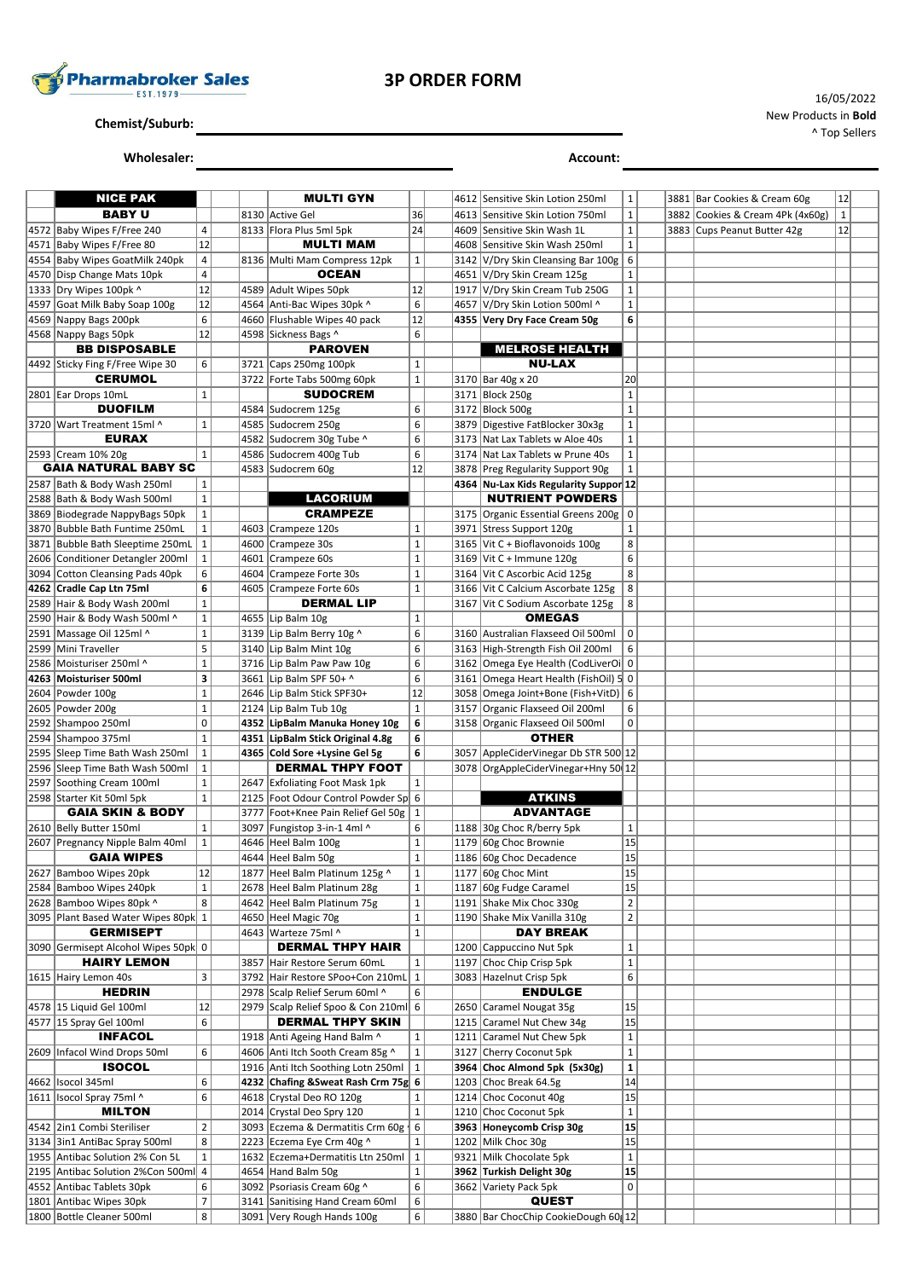

**Chemist/Suburb:**

**Wholesaler: Account:**

| <b>NICE PAK</b>                                                      |                              | <b>MULTI GYN</b>                                                |                             |      | 4612 Sensitive Skin Lotion 250ml                              | $\mathbf{1}$      |  | 3881 Bar Cookies & Cream 60g     | 12        |  |
|----------------------------------------------------------------------|------------------------------|-----------------------------------------------------------------|-----------------------------|------|---------------------------------------------------------------|-------------------|--|----------------------------------|-----------|--|
| <b>BABY U</b>                                                        |                              | 8130 Active Gel                                                 | 36                          |      | 4613 Sensitive Skin Lotion 750ml                              | $\mathbf 1$       |  | 3882 Cookies & Cream 4Pk (4x60g) | $\vert$ 1 |  |
| 4572 Baby Wipes F/Free 240                                           | 4                            | 8133 Flora Plus 5ml 5pk                                         | 24                          |      | 4609 Sensitive Skin Wash 1L                                   | $\mathbf{1}$      |  | 3883 Cups Peanut Butter 42g      | 12        |  |
| 4571 Baby Wipes F/Free 80                                            | 12                           | <b>MULTI MAM</b>                                                |                             |      | 4608 Sensitive Skin Wash 250ml                                | $\mathbf{1}$      |  |                                  |           |  |
| 4554 Baby Wipes GoatMilk 240pk                                       | 4                            | 8136 Multi Mam Compress 12pk                                    | $\mathbf 1$                 |      | 3142 V/Dry Skin Cleansing Bar 100g                            | 6                 |  |                                  |           |  |
| 4570 Disp Change Mats 10pk                                           | 4                            | <b>OCEAN</b>                                                    |                             |      | 4651 V/Dry Skin Cream 125g                                    | $\mathbf{1}$      |  |                                  |           |  |
| 1333 Dry Wipes 100pk ^                                               | 12                           | 4589 Adult Wipes 50pk                                           | 12                          | 1917 | V/Dry Skin Cream Tub 250G                                     | $\mathbf 1$       |  |                                  |           |  |
| 4597 Goat Milk Baby Soap 100g                                        | 12                           | 4564 Anti-Bac Wipes 30pk ^                                      | 6                           | 4657 | V/Dry Skin Lotion 500ml ^                                     | $\mathbf 1$       |  |                                  |           |  |
| 4569 Nappy Bags 200pk                                                | 6                            | 4660 Flushable Wipes 40 pack                                    | 12                          |      | 4355 Very Dry Face Cream 50g                                  | 6                 |  |                                  |           |  |
| 4568 Nappy Bags 50pk                                                 | 12                           | 4598 Sickness Bags ^                                            | 6                           |      | <b>MELROSE HEALTH</b>                                         |                   |  |                                  |           |  |
| <b>BB DISPOSABLE</b>                                                 | 6                            | <b>PAROVEN</b>                                                  |                             |      | <b>NU-LAX</b>                                                 |                   |  |                                  |           |  |
| 4492 Sticky Fing F/Free Wipe 30<br><b>CERUMOL</b>                    |                              | 3721 Caps 250mg 100pk<br>3722   Forte Tabs 500mg 60pk           | $\mathbf 1$<br>$\mathbf 1$  |      | 3170 Bar 40g x 20                                             | 20                |  |                                  |           |  |
| 2801 Ear Drops 10mL                                                  | $\mathbf{1}$                 | <b>SUDOCREM</b>                                                 |                             |      | 3171 Block 250g                                               | $\mathbf{1}$      |  |                                  |           |  |
| <b>DUOFILM</b>                                                       |                              | 4584 Sudocrem 125g                                              | 6                           |      | 3172 Block 500g                                               | $\mathbf{1}$      |  |                                  |           |  |
| 3720 Wart Treatment 15ml ^                                           | $\mathbf{1}$                 | 4585 Sudocrem 250g                                              | 6                           |      | 3879 Digestive FatBlocker 30x3g                               | $\mathbf 1$       |  |                                  |           |  |
| <b>EURAX</b>                                                         |                              | 4582 Sudocrem 30g Tube ^                                        | 6                           | 3173 | Nat Lax Tablets w Aloe 40s                                    | $\mathbf{1}$      |  |                                  |           |  |
| 2593 Cream 10% 20g                                                   | $\mathbf{1}$                 | 4586 Sudocrem 400g Tub                                          | 6                           | 3174 | Nat Lax Tablets w Prune 40s                                   | $\mathbf 1$       |  |                                  |           |  |
| <b>GAIA NATURAL BABY SC</b>                                          |                              | 4583 Sudocrem 60g                                               | 12                          |      | 3878 Preg Regularity Support 90g                              | $\mathbf{1}$      |  |                                  |           |  |
| 2587 Bath & Body Wash 250ml                                          | $\mathbf{1}$                 |                                                                 |                             |      | 4364 Nu-Lax Kids Regularity Suppor 12                         |                   |  |                                  |           |  |
| 2588 Bath & Body Wash 500ml                                          | $\mathbf 1$                  | <b>LACORIUM</b>                                                 |                             |      | <b>NUTRIENT POWDERS</b>                                       |                   |  |                                  |           |  |
| 3869 Biodegrade NappyBags 50pk                                       | $\mathbf{1}$                 | <b>CRAMPEZE</b>                                                 |                             |      | 3175 Organic Essential Greens 200g                            | $\mathbf 0$       |  |                                  |           |  |
| 3870 Bubble Bath Funtime 250mL                                       | $\mathbf 1$                  | 4603 Crampeze 120s                                              | $\mathbf 1$<br>$\mathbf 1$  | 3971 | Stress Support 120g                                           | $\mathbf{1}$      |  |                                  |           |  |
| 3871 Bubble Bath Sleeptime 250mL<br>2606 Conditioner Detangler 200ml | $\mathbf{1}$<br>$\mathbf{1}$ | 4600 Crampeze 30s<br>4601 Crampeze 60s                          | $\mathbf 1$                 |      | 3165 Vit C + Bioflavonoids 100g<br>3169 Vit C + Immune 120g   | 8<br>6            |  |                                  |           |  |
| 3094 Cotton Cleansing Pads 40pk                                      | 6                            | 4604 Crampeze Forte 30s                                         | $\mathbf 1$                 |      | 3164 Vit C Ascorbic Acid 125g                                 | 8                 |  |                                  |           |  |
| 4262 Cradle Cap Ltn 75ml                                             | 6                            | 4605 Crampeze Forte 60s                                         | $\mathbf 1$                 |      | 3166 Vit C Calcium Ascorbate 125g                             | 8                 |  |                                  |           |  |
| 2589 Hair & Body Wash 200ml                                          | $\mathbf{1}$                 | <b>DERMAL LIP</b>                                               |                             | 3167 | Vit C Sodium Ascorbate 125g                                   | 8                 |  |                                  |           |  |
| 2590   Hair & Body Wash 500ml ^                                      | $\mathbf{1}$                 | 4655 Lip Balm 10g                                               | $\mathbf 1$                 |      | <b>OMEGAS</b>                                                 |                   |  |                                  |           |  |
| 2591 Massage Oil 125ml ^                                             | $\mathbf 1$                  | 3139 Lip Balm Berry 10g ^                                       | 6                           |      | 3160 Australian Flaxseed Oil 500ml                            | $\mathbf 0$       |  |                                  |           |  |
| 2599 Mini Traveller                                                  | 5                            | 3140 Lip Balm Mint 10g                                          | 6                           |      | 3163 High-Strength Fish Oil 200ml                             | 6                 |  |                                  |           |  |
| 2586 Moisturiser 250ml ^                                             | $\mathbf 1$                  | 3716 Lip Balm Paw Paw 10g                                       | 6                           |      | 3162 Omega Eye Health (CodLiverOi 0                           |                   |  |                                  |           |  |
| 4263 Moisturiser 500ml                                               | 3                            | 3661 Lip Balm SPF 50+ ^                                         | 6                           | 3161 | Omega Heart Health (FishOil) 5 0                              |                   |  |                                  |           |  |
| 2604 Powder 100g                                                     | $\mathbf 1$                  | 2646 Lip Balm Stick SPF30+                                      | 12                          |      | 3058 Omega Joint+Bone (Fish+VitD) 6                           |                   |  |                                  |           |  |
| 2605 Powder 200g<br>2592 Shampoo 250ml                               | $\mathbf{1}$<br>0            | 2124 Lip Balm Tub 10g<br>4352 LipBalm Manuka Honey 10g          | $\mathbf 1$<br>6            | 3157 | Organic Flaxseed Oil 200ml<br>3158 Organic Flaxseed Oil 500ml | 6<br>$\mathbf 0$  |  |                                  |           |  |
| 2594 Shampoo 375ml                                                   | $\mathbf 1$                  | 4351 LipBalm Stick Original 4.8g                                | 6                           |      | <b>OTHER</b>                                                  |                   |  |                                  |           |  |
| 2595 Sleep Time Bath Wash 250ml                                      | $\mathbf{1}$                 | 4365 Cold Sore +Lysine Gel 5g                                   | 6                           | 3057 | AppleCiderVinegar Db STR 500 12                               |                   |  |                                  |           |  |
| 2596 Sleep Time Bath Wash 500ml                                      | $\mathbf{1}$                 | <b>DERMAL THPY FOOT</b>                                         |                             |      | 3078 OrgAppleCiderVinegar+Hny 50 12                           |                   |  |                                  |           |  |
| 2597 Soothing Cream 100ml                                            | $\mathbf{1}$                 | 2647 Exfoliating Foot Mask 1pk                                  | $\mathbf 1$                 |      |                                                               |                   |  |                                  |           |  |
| 2598 Starter Kit 50ml 5pk                                            | $\mathbf 1$                  | 2125 Foot Odour Control Powder Sp 6                             |                             |      | <b>ATKINS</b>                                                 |                   |  |                                  |           |  |
| <b>GAIA SKIN &amp; BODY</b>                                          |                              | 3777   Foot+Knee Pain Relief Gel 50g                            | $\mathbf 1$                 |      | <b>ADVANTAGE</b>                                              |                   |  |                                  |           |  |
| 2610 Belly Butter 150ml                                              | $\mathbf{1}$                 | 3097 Fungistop 3-in-1 4ml ^                                     | 6                           |      | 1188 30g Choc R/berry 5pk                                     | $\mathbf{1}$      |  |                                  |           |  |
| 2607 Pregnancy Nipple Balm 40ml                                      | $\mathbf{1}$                 | 4646 Heel Balm 100g                                             | $\mathbf 1$                 |      | 1179 60g Choc Brownie                                         | 15                |  |                                  |           |  |
| <b>GAIA WIPES</b><br>2627 Bamboo Wipes 20pk                          | 12                           | 4644 Heel Balm 50g<br>1877   Heel Balm Platinum 125g ^          | $\mathbf 1$<br>$\mathbf{1}$ |      | 1186 60g Choc Decadence<br>$1177$ $ 60g$ Choc Mint            | 15                |  |                                  |           |  |
| 2584 Bamboo Wipes 240pk                                              | $\mathbf 1$                  | 2678 Heel Balm Platinum 28g                                     | $\mathbf 1$                 |      | 1187 60g Fudge Caramel                                        | 15<br>15          |  |                                  |           |  |
| 2628 Bamboo Wipes 80pk ^                                             | 8                            | 4642 Heel Balm Platinum 75g                                     | $\mathbf{1}$                |      | 1191 Shake Mix Choc 330g                                      | $\overline{2}$    |  |                                  |           |  |
| 3095 Plant Based Water Wipes 80pk 1                                  |                              | 4650 Heel Magic 70g                                             | $\mathbf{1}$                |      | 1190 Shake Mix Vanilla 310g                                   | $\overline{2}$    |  |                                  |           |  |
| <b>GERMISEPT</b>                                                     |                              | 4643 Warteze 75ml ^                                             | $\mathbf{1}$                |      | <b>DAY BREAK</b>                                              |                   |  |                                  |           |  |
| 3090 Germisept Alcohol Wipes 50pk 0                                  |                              | <b>DERMAL THPY HAIR</b>                                         |                             |      | 1200 Cappuccino Nut 5pk                                       | $\mathbf{1}$      |  |                                  |           |  |
| <b>HAIRY LEMON</b>                                                   |                              | 3857 Hair Restore Serum 60mL                                    | $\mathbf{1}$                | 1197 | Choc Chip Crisp 5pk                                           | $\mathbf 1$       |  |                                  |           |  |
| 1615 Hairy Lemon 40s                                                 | 3                            | 3792 Hair Restore SPoo+Con 210mL                                | $\mathbf{1}$                |      | 3083 Hazelnut Crisp 5pk                                       | 6                 |  |                                  |           |  |
| <b>HEDRIN</b>                                                        |                              | 2978 Scalp Relief Serum 60ml ^                                  | 6                           |      | <b>ENDULGE</b>                                                |                   |  |                                  |           |  |
| 4578 15 Liquid Gel 100ml<br>4577 15 Spray Gel 100ml                  | 12<br>6                      | 2979 Scalp Relief Spoo & Con 210ml 6<br><b>DERMAL THPY SKIN</b> |                             |      | 2650 Caramel Nougat 35g<br>1215 Caramel Nut Chew 34g          | 15<br>15          |  |                                  |           |  |
| <b>INFACOL</b>                                                       |                              | 1918 Anti Ageing Hand Balm ^                                    | $\mathbf{1}$                |      | 1211 Caramel Nut Chew 5pk                                     | $\mathbf{1}$      |  |                                  |           |  |
| 2609 Infacol Wind Drops 50ml                                         | 6                            | 4606 Anti Itch Sooth Cream 85g ^                                | $\mathbf{1}$                | 3127 | Cherry Coconut 5pk                                            | $\mathbf 1$       |  |                                  |           |  |
| <b>ISOCOL</b>                                                        |                              | 1916 Anti Itch Soothing Lotn 250ml 1                            |                             |      | 3964 Choc Almond 5pk (5x30g)                                  | ${\bf 1}$         |  |                                  |           |  |
| 4662   Isocol 345ml                                                  | 6                            | 4232 Chafing & Sweat Rash Crm 75g 6                             |                             |      | 1203 Choc Break 64.5g                                         | 14                |  |                                  |           |  |
| 1611   Isocol Spray 75ml ^                                           | 6                            | 4618 Crystal Deo RO 120g                                        | $\mathbf{1}$                |      | 1214 Choc Coconut 40g                                         | 15                |  |                                  |           |  |
| <b>MILTON</b>                                                        |                              | 2014 Crystal Deo Spry 120                                       | $\mathbf 1$                 |      | 1210 Choc Coconut 5pk                                         | $\mathbf{1}$      |  |                                  |           |  |
| 4542 2in1 Combi Steriliser                                           | $\overline{2}$               | 3093 Eczema & Dermatitis Crm 60g   6                            |                             |      | 3963 Honeycomb Crisp 30g                                      | 15                |  |                                  |           |  |
| 3134 3in1 AntiBac Spray 500ml                                        | 8                            | 2223 Eczema Eye Crm 40g ^                                       | $\mathbf{1}$                |      | 1202 Milk Choc 30g                                            | 15                |  |                                  |           |  |
| 1955 Antibac Solution 2% Con 5L                                      | $\mathbf 1$                  | 1632 Eczema+Dermatitis Ltn 250ml                                | $\mathbf{1}$                | 9321 | Milk Chocolate 5pk                                            | $\mathbf{1}$      |  |                                  |           |  |
| 2195 Antibac Solution 2%Con 500ml 4<br>4552 Antibac Tablets 30pk     | 6                            | 4654 Hand Balm 50g<br>3092 Psoriasis Cream 60g ^                | $\mathbf 1$<br>6            |      | 3962 Turkish Delight 30g<br>3662 Variety Pack 5pk             | 15<br>$\mathbf 0$ |  |                                  |           |  |
| 1801 Antibac Wipes 30pk                                              | $\overline{7}$               | 3141 Sanitising Hand Cream 60ml                                 | 6                           |      | <b>QUEST</b>                                                  |                   |  |                                  |           |  |
| 1800 Bottle Cleaner 500ml                                            | 8                            | 3091 Very Rough Hands 100g                                      | 6                           |      | 3880 Bar ChocChip CookieDough 60 12                           |                   |  |                                  |           |  |
|                                                                      |                              |                                                                 |                             |      |                                                               |                   |  |                                  |           |  |

16/05/2022 New Products in **Bold** ^ Top Sellers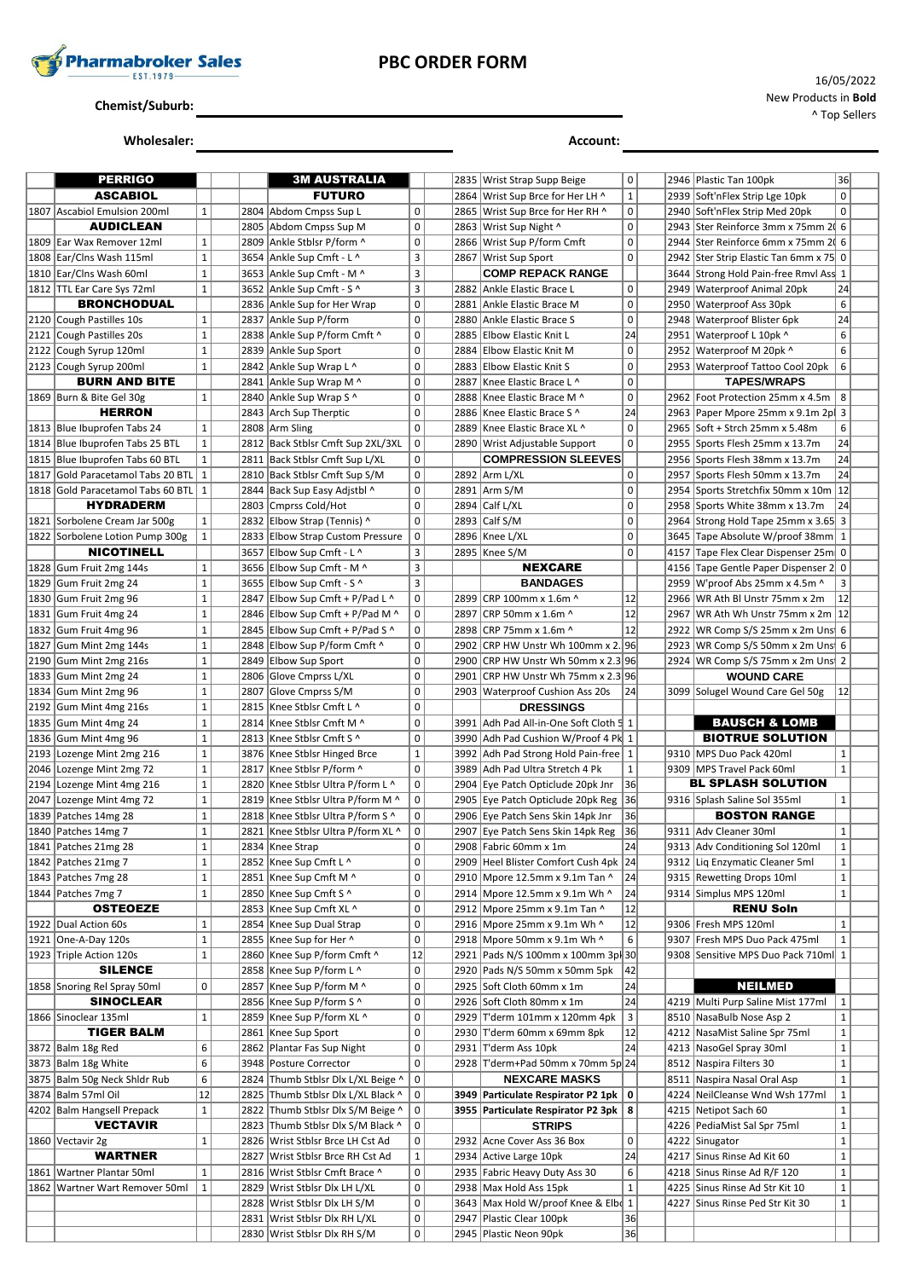

### **PBC ORDER FORM**

**Chemist/Suburb:**

**Wholesaler: Account:**

16/05/2022 New Products in **Bold** ^ Top Sellers

|      | <b>PERRIGO</b>                      |              |      | <b>3M AUSTRALIA</b>                                           |                     |      | 2835   Wrist Strap Supp Beige                        | 0                       |      | 2946   Plastic Tan 100pk              | 36           |
|------|-------------------------------------|--------------|------|---------------------------------------------------------------|---------------------|------|------------------------------------------------------|-------------------------|------|---------------------------------------|--------------|
|      | <b>ASCABIOL</b>                     |              |      | <b>FUTURO</b>                                                 |                     | 2864 | Wrist Sup Brce for Her LH ^                          | $\mathbf 1$             |      | 2939 Soft'nFlex Strip Lge 10pk        | $\mathbf 0$  |
| 1807 | Ascabiol Emulsion 200ml             | $\mathbf{1}$ |      | 2804 Abdom Cmpss Sup L                                        | $\mathbf 0$         | 2865 | Wrist Sup Brce for Her RH ^                          | 0                       | 2940 | Soft'nFlex Strip Med 20pk             | $\mathbf 0$  |
|      | <b>AUDICLEAN</b>                    |              |      | 2805 Abdom Cmpss Sup M                                        | 0                   | 2863 | Wrist Sup Night ^                                    | 0                       |      | 2943 Ster Reinforce 3mm x 75mm 20 6   |              |
|      | 1809 Ear Wax Remover 12ml           | $\mathbf{1}$ |      | 2809 Ankle Stblsr P/form ^                                    | $\mathbf 0$         |      | 2866 Wrist Sup P/form Cmft                           | $\mathbf 0$             |      | 2944   Ster Reinforce 6mm x 75mm 2 6  |              |
|      | 1808 Ear/Clns Wash 115ml            | $\mathbf 1$  |      | 3654 Ankle Sup Cmft - L ^                                     | 3                   | 2867 | Wrist Sup Sport                                      | $\mathbf 0$             | 2942 | Ster Strip Elastic Tan 6mm x 75 0     |              |
|      | 1810 Ear/Clns Wash 60ml             | $\mathbf{1}$ |      | 3653 Ankle Sup Cmft - M ^                                     | 3                   |      | <b>COMP REPACK RANGE</b>                             |                         |      | 3644 Strong Hold Pain-free Rmvl Ass 1 |              |
|      | 1812   TTL Ear Care Sys 72ml        | $\mathbf{1}$ |      | 3652 Ankle Sup Cmft - S ^                                     | 3                   | 2882 | Ankle Elastic Brace L                                | $\mathbf 0$             | 2949 | <b>Waterproof Animal 20pk</b>         | 24           |
|      | <b>BRONCHODUAL</b>                  |              |      | 2836 Ankle Sup for Her Wrap                                   | 0                   | 2881 | Ankle Elastic Brace M                                | $\mathsf 0$             | 2950 | <b>Waterproof Ass 30pk</b>            | 6            |
|      | 2120 Cough Pastilles 10s            | $\mathbf{1}$ |      | 2837 Ankle Sup P/form                                         | $\pmb{0}$           | 2880 | Ankle Elastic Brace S                                | $\mathsf 0$             | 2948 | <b>Waterproof Blister 6pk</b>         | 24           |
|      | 2121 Cough Pastilles 20s            | $\mathbf 1$  |      | 2838 Ankle Sup P/form Cmft ^                                  | $\pmb{0}$           | 2885 | Elbow Elastic Knit L                                 | 24                      |      | 2951 Waterproof L 10pk ^              | 6            |
|      | 2122 Cough Syrup 120ml              | $\mathbf{1}$ |      | 2839 Ankle Sup Sport                                          | $\mathbf 0$         | 2884 | Elbow Elastic Knit M                                 | $\mathsf 0$             |      | 2952 Waterproof M 20pk ^              | 6            |
|      | 2123 Cough Syrup 200ml              | $\mathbf{1}$ |      | 2842 Ankle Sup Wrap L ^                                       | $\mathbf 0$         | 2883 | <b>Elbow Elastic Knit S</b>                          | $\mathsf 0$             |      | 2953 Waterproof Tattoo Cool 20pk      | 6            |
|      | <b>BURN AND BITE</b>                |              |      | 2841 Ankle Sup Wrap M ^                                       | $\pmb{0}$           | 2887 | Knee Elastic Brace L ^                               | $\mathsf 0$             |      | <b>TAPES/WRAPS</b>                    |              |
|      | 1869 Burn & Bite Gel 30g            | $\mathbf{1}$ |      | 2840 Ankle Sup Wrap S ^                                       | $\mathbf 0$         | 2888 | Knee Elastic Brace M ^                               | $\mathsf 0$             | 2962 | Foot Protection 25mm x 4.5m           | 8            |
|      | <b>HERRON</b>                       |              |      | 2843 Arch Sup Therptic                                        | $\mathbf 0$         | 2886 | Knee Elastic Brace S ^                               | 24                      |      | 2963 Paper Mpore 25mm x 9.1m 2p       | 3            |
|      | 1813 Blue Ibuprofen Tabs 24         | $\mathbf{1}$ |      | 2808 Arm Sling                                                | $\mathsf 0$         | 2889 | Knee Elastic Brace XL ^                              | $\mathsf 0$             |      | 2965 Soft + Strch 25mm x 5.48m        | 6            |
|      | 1814 Blue Ibuprofen Tabs 25 BTL     | $\mathbf 1$  |      | 2812 Back Stblsr Cmft Sup 2XL/3XL                             | $\mathbf 0$         |      | 2890 Wrist Adjustable Support                        | $\mathbf 0$             | 2955 | Sports Flesh 25mm x 13.7m             | 24           |
|      | 1815 Blue Ibuprofen Tabs 60 BTL     | $\mathbf 1$  |      | 2811 Back Stblsr Cmft Sup L/XL                                | 0                   |      | <b>COMPRESSION SLEEVES</b>                           |                         | 2956 | Sports Flesh 38mm x 13.7m             | 24           |
|      | 1817 Gold Paracetamol Tabs 20 BTL   | $\mathbf{1}$ |      | 2810 Back Stblsr Cmft Sup S/M                                 | $\pmb{0}$           | 2892 | Arm L/XL                                             | $\mathsf 0$             |      | 2957 Sports Flesh 50mm x 13.7m        | 24           |
|      | 1818 Gold Paracetamol Tabs 60 BTL 1 |              |      | 2844 Back Sup Easy Adjstbl ^                                  | $\pmb{0}$           |      | 2891 Arm S/M                                         | $\mathsf 0$             |      | 2954 Sports Stretchfix 50mm x 10m 12  |              |
|      | <b>HYDRADERM</b>                    |              |      | 2803 Cmprss Cold/Hot                                          | $\pmb{0}$           | 2894 | Calf L/XL                                            | $\pmb{0}$               | 2958 | Sports White 38mm x 13.7m             | 24           |
|      | 1821 Sorbolene Cream Jar 500g       | $\mathbf{1}$ | 2832 | Elbow Strap (Tennis) ^                                        | $\mathbf 0$         | 2893 | Calf S/M                                             | $\mathsf 0$             | 2964 | Strong Hold Tape 25mm x 3.65 3        |              |
|      | 1822 Sorbolene Lotion Pump 300g     | $\mathbf{1}$ |      | 2833 Elbow Strap Custom Pressure                              | $\mathsf 0$         |      | 2896 Knee L/XL                                       | 0                       |      | 3645 Tape Absolute W/proof 38mm 1     |              |
|      | <b>NICOTINELL</b>                   |              |      | 3657 Elbow Sup Cmft - L ^                                     | 3                   |      | 2895 Knee S/M                                        | $\mathbf 0$             |      | 4157 Tape Flex Clear Dispenser 25m 0  |              |
|      | 1828 Gum Fruit 2mg 144s             | $\mathbf{1}$ |      | 3656 Elbow Sup Cmft - M ^                                     | 3                   |      | <b>NEXCARE</b>                                       |                         | 4156 | Tape Gentle Paper Dispenser 2 0       |              |
|      | 1829 Gum Fruit 2mg 24               | $\mathbf 1$  |      | 3655 Elbow Sup Cmft - S ^                                     | 3                   |      | <b>BANDAGES</b>                                      |                         |      | 2959 W'proof Abs 25mm x 4.5m ^        | 3            |
|      | 1830 Gum Fruit 2mg 96               | $\mathbf 1$  |      | 2847 Elbow Sup Cmft + P/Pad L ^                               | $\mathbf 0$         | 2899 | CRP 100mm x 1.6m ^                                   | 12                      | 2966 | WR Ath BI Unstr 75mm x 2m             | 12           |
| 1831 | Gum Fruit 4mg 24                    | $\mathbf{1}$ |      | 2846 Elbow Sup Cmft + P/Pad M ^                               | $\pmb{0}$           | 2897 | CRP 50mm x 1.6m ^                                    | 12                      | 2967 | WR Ath Wh Unstr 75mm x 2m 12          |              |
|      | 1832 Gum Fruit 4mg 96               | $\mathbf{1}$ |      | 2845 Elbow Sup Cmft + P/Pad S ^                               | $\mathbf 0$         | 2898 | CRP 75mm x 1.6m ^                                    | 12                      | 2922 | WR Comp S/S 25mm x 2m Uns 6           |              |
|      | 1827 Gum Mint 2mg 144s              | $\mathbf 1$  |      | 2848 Elbow Sup P/form Cmft ^                                  | $\mathbf 0$         | 2902 | CRP HW Unstr Wh 100mm x 2. 96                        |                         |      | 2923 WR Comp S/S 50mm x 2m Uns 6      |              |
|      | 2190 Gum Mint 2mg 216s              | $\mathbf{1}$ |      | 2849 Elbow Sup Sport                                          | $\pmb{0}$           | 2900 | CRP HW Unstr Wh 50mm x 2.3 96                        |                         |      | 2924 WR Comp S/S 75mm x 2m Uns 2      |              |
|      | 1833 Gum Mint 2mg 24                | $\mathbf 1$  | 2806 | Glove Cmprss L/XL                                             | $\mathbf 0$         | 2901 | CRP HW Unstr Wh 75mm x 2.3 96                        |                         |      | <b>WOUND CARE</b>                     |              |
|      | 1834 Gum Mint 2mg 96                | $\mathbf{1}$ | 2807 | Glove Cmprss S/M                                              | $\mathbf 0$         |      | 2903 Waterproof Cushion Ass 20s                      | 24                      |      | 3099 Solugel Wound Care Gel 50g       | 12           |
|      |                                     |              |      |                                                               |                     |      |                                                      |                         |      |                                       |              |
|      |                                     |              |      |                                                               |                     |      |                                                      |                         |      |                                       |              |
|      | 2192 Gum Mint 4mg 216s              | $\mathbf{1}$ | 2815 | Knee Stblsr Cmft L ^                                          | $\mathbf 0$         |      | <b>DRESSINGS</b>                                     |                         |      |                                       |              |
|      | 1835 Gum Mint 4mg 24                | $\mathbf 1$  | 2814 | Knee Stblsr Cmft M ^                                          | $\mathbf 0$         | 3991 | Adh Pad All-in-One Soft Cloth 5 1                    |                         |      | <b>BAUSCH &amp; LOMB</b>              |              |
|      | 1836 Gum Mint 4mg 96                | $\mathbf{1}$ |      | 2813 Knee Stblsr Cmft S ^                                     | $\pmb{0}$           |      | 3990 Adh Pad Cushion W/Proof 4 Pk 1                  |                         |      | <b>BIOTRUE SOLUTION</b>               |              |
|      | 2193 Lozenge Mint 2mg 216           | $\mathbf 1$  |      | 3876 Knee Stblsr Hinged Brce                                  | $\mathbf 1$         | 3992 | Adh Pad Strong Hold Pain-free   1                    |                         |      | 9310 MPS Duo Pack 420ml               | 1            |
|      | 2046 Lozenge Mint 2mg 72            | $\mathbf{1}$ | 2817 | Knee Stblsr P/form ^                                          | 0                   | 3989 | Adh Pad Ultra Stretch 4 Pk                           | $\mathbf{1}$            |      | 9309 MPS Travel Pack 60ml             | $\mathbf{1}$ |
|      | 2194 Lozenge Mint 4mg 216           | $\mathbf{1}$ |      | 2820 Knee Stblsr Ultra P/form L ^                             | $\mathbf 0$         | 2904 | Eye Patch Opticlude 20pk Jnr                         | 36                      |      | BL SPLASH SOLUTION                    |              |
|      | 2047 Lozenge Mint 4mg 72            | $\mathbf 1$  |      | 2819 Knee Stblsr Ultra P/form M ^                             | $\pmb{0}$           | 2905 | Eye Patch Opticlude 20pk Reg 36                      |                         |      | 9316 Splash Saline Sol 355ml          | 1            |
|      | 1839   Patches 14mg 28              | $\mathbf{1}$ |      | 2818 Knee Stblsr Ultra P/form S ^                             | $\mathsf 0$         |      | 2906 Eye Patch Sens Skin 14pk Jnr                    | 36                      |      | <b>BOSTON RANGE</b>                   |              |
|      | 1840 Patches 14mg 7                 | $\mathbf 1$  |      | 2821 Knee Stblsr Ultra P/form XL ^                            | $\mathbf 0$         | 2907 | Eye Patch Sens Skin 14pk Reg                         | 36                      |      | 9311 Adv Cleaner 30ml                 | 1            |
|      | 1841   Patches 21mg 28              | $\mathbf{1}$ |      | 2834 Knee Strap                                               | 0                   |      | 2908 Fabric 60mm x 1m                                | 24                      |      | 9313 Adv Conditioning Sol 120ml       | $\mathbf{1}$ |
|      | 1842 Patches 21mg 7                 | $\mathbf{1}$ |      | 2852 Knee Sup Cmft L ^                                        | $\pmb{0}$           |      | 2909 Heel Blister Comfort Cush 4pk 24                |                         |      | 9312 Lig Enzymatic Cleaner 5ml        | $\mathbf{1}$ |
|      | 1843 Patches 7mg 28                 | $\mathbf 1$  |      | 2851 Knee Sup Cmft M ^                                        | $\pmb{0}$           | 2910 | Mpore 12.5mm x 9.1m Tan ^                            | 24                      |      | 9315 Rewetting Drops 10ml             | $\mathbf{1}$ |
|      | 1844   Patches 7mg 7                | $\mathbf{1}$ |      | 2850   Knee Sup Cmft S ^                                      | 0                   |      | 2914 Mpore 12.5mm x 9.1m Wh ^                        | 24                      |      | 9314 Simplus MPS 120ml                | $\mathbf{1}$ |
|      | <b>OSTEOEZE</b>                     |              |      | 2853   Knee Sup Cmft XL ^                                     | $\pmb{0}$           |      | 2912   Mpore 25mm x 9.1m Tan ^                       | 12                      |      | <b>RENU Soln</b>                      |              |
|      | 1922 Dual Action 60s                | $\mathbf{1}$ |      | 2854 Knee Sup Dual Strap                                      | 0                   | 2916 | Mpore 25mm x 9.1m Wh ^                               | 12                      |      | 9306 Fresh MPS 120ml                  | 1            |
|      | 1921 One-A-Day 120s                 | $\mathbf 1$  |      | 2855 Knee Sup for Her ^                                       | $\mathbf 0$         |      | 2918 Mpore 50mm x 9.1m Wh ^                          | 6                       |      | 9307 Fresh MPS Duo Pack 475ml         | $\mathbf{1}$ |
|      | 1923 Triple Action 120s             | $\mathbf 1$  |      | 2860 Knee Sup P/form Cmft ^                                   | 12                  | 2921 | Pads N/S 100mm x 100mm 3pl 30                        |                         |      | 9308 Sensitive MPS Duo Pack 710ml 1   |              |
|      | <b>SILENCE</b>                      |              |      | 2858 Knee Sup P/form L ^                                      | 0                   |      | 2920 Pads N/S 50mm x 50mm 5pk                        | 42                      |      |                                       |              |
|      | 1858 Snoring Rel Spray 50ml         | 0            | 2857 | Knee Sup P/form M ^                                           | $\pmb{0}$           | 2925 | Soft Cloth 60mm x 1m                                 | 24                      |      | <b>NEILMED</b>                        |              |
|      | <b>SINOCLEAR</b>                    |              |      | 2856 Knee Sup P/form S ^                                      | 0                   |      | 2926 Soft Cloth 80mm x 1m                            | 24                      |      | 4219 Multi Purp Saline Mist 177ml     | $\mathbf{1}$ |
|      | 1866 Sinoclear 135ml                | $\mathbf{1}$ |      | 2859 Knee Sup P/form XL ^                                     | $\pmb{0}$           |      | 2929 T'derm 101mm x 120mm 4pk                        | $\overline{\mathbf{3}}$ |      | 8510 NasaBulb Nose Asp 2              | $\mathbf{1}$ |
|      | <b>TIGER BALM</b>                   |              |      | 2861 Knee Sup Sport                                           | 0                   | 2930 | T'derm 60mm x 69mm 8pk                               | 12                      |      | 4212 NasaMist Saline Spr 75ml         | $\mathbf 1$  |
|      | 3872   Balm 18g Red                 | 6            |      | 2862 Plantar Fas Sup Night                                    | $\pmb{0}$           |      | 2931 T'derm Ass 10pk                                 | 24                      |      | 4213 NasoGel Spray 30ml               | $\mathbf{1}$ |
|      | 3873 Balm 18g White                 | 6            |      | 3948 Posture Corrector                                        | $\pmb{0}$           |      | 2928 T'derm+Pad 50mm x 70mm 5p 24                    |                         |      | 8512 Naspira Filters 30               | $\mathbf 1$  |
|      | 3875 Balm 50g Neck Shidr Rub        | 6            | 2824 | Thumb Stblsr Dlx L/XL Beige ^                                 | $\mathsf 0$         |      | <b>NEXCARE MASKS</b>                                 |                         |      | 8511 Naspira Nasal Oral Asp           | $\mathbf{1}$ |
|      | 3874 Balm 57ml Oil                  | 12           | 2825 | Thumb Stblsr Dlx L/XL Black ^                                 | $\pmb{0}$           |      | 3949 Particulate Respirator P2 1pk   0               |                         |      | 4224 NeilCleanse Wnd Wsh 177ml        | $\mathbf{1}$ |
|      | 4202 Balm Hangsell Prepack          | $\mathbf 1$  |      | 2822 Thumb Stblsr Dlx S/M Beige ^                             | 0                   |      | 3955 Particulate Respirator P2 3pk   8               |                         |      | 4215 Netipot Sach 60                  | $\mathbf 1$  |
|      | <b>VECTAVIR</b>                     |              |      | 2823 Thumb Stblsr Dlx S/M Black ^                             | 0                   |      | <b>STRIPS</b>                                        |                         |      | 4226   PediaMist Sal Spr 75ml         | $\mathbf 1$  |
|      | 1860 Vectavir 2g                    | $\mathbf 1$  |      | 2826 Wrist Stblsr Brce LH Cst Ad                              | $\pmb{0}$           | 2932 | Acne Cover Ass 36 Box                                | 0                       |      | 4222 Sinugator                        | $\mathbf 1$  |
|      | <b>WARTNER</b>                      |              | 2827 | Wrist Stblsr Brce RH Cst Ad                                   | $\mathbf 1$         |      | 2934 Active Large 10pk                               | 24                      |      | 4217 Sinus Rinse Ad Kit 60            | $\mathbf{1}$ |
|      | 1861   Wartner Plantar 50ml         | $\mathbf{1}$ |      | 2816 Wrist Stblsr Cmft Brace ^                                | $\mathsf{O}\xspace$ |      | 2935 Fabric Heavy Duty Ass 30                        | 6                       |      | 4218 Sinus Rinse Ad R/F 120           | $\mathbf{1}$ |
|      | 1862 Wartner Wart Remover 50ml      | $\mathbf{1}$ | 2829 | Wrist Stblsr Dlx LH L/XL                                      | $\pmb{0}$           |      | 2938 Max Hold Ass 15pk                               | $\mathbf{1}$            |      | 4225 Sinus Rinse Ad Str Kit 10        | $\mathbf{1}$ |
|      |                                     |              |      | 2828 Wrist Stblsr Dlx LH S/M                                  | 0                   |      | 3643 Max Hold W/proof Knee & Elbo 1                  |                         |      | 4227 Sinus Rinse Ped Str Kit 30       | $\mathbf{1}$ |
|      |                                     |              |      | 2831 Wrist Stblsr Dlx RH L/XL<br>2830 Wrist Stblsr Dlx RH S/M | $\pmb{0}$<br>0      |      | 2947 Plastic Clear 100pk<br>2945   Plastic Neon 90pk | 36<br>36                |      |                                       |              |